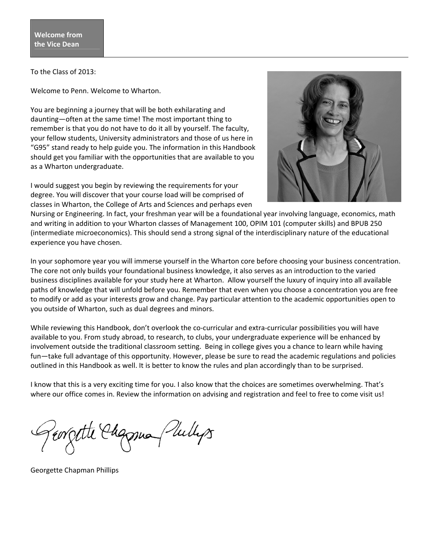To the Class of 2013:

Welcome to Penn. Welcome to Wharton.

You are beginning a journey that will be both exhilarating and daunting—often at the same time! The most important thing to remember is that you do not have to do it all by yourself. The faculty, your fellow students, University administrators and those of us here in "G95" stand ready to help guide you. The information in this Handbook should get you familiar with the opportunities that are available to you as a Wharton undergraduate.

I would suggest you begin by reviewing the requirements for your degree. You will discover that your course load will be comprised of classes in Wharton, the College of Arts and Sciences and perhaps even



Nursing or Engineering. In fact, your freshman year will be a foundational year involving language, economics, math and writing in addition to your Wharton classes of Management 100, OPIM 101 (computer skills) and BPUB 250 (intermediate microeconomics). This should send a strong signal of the interdisciplinary nature of the educational experience you have chosen.

In your sophomore year you will immerse yourself in the Wharton core before choosing your business concentration. The core not only builds your foundational business knowledge, it also serves as an introduction to the varied business disciplines available for your study here at Wharton. Allow yourself the luxury of inquiry into all available paths of knowledge that will unfold before you. Remember that even when you choose a concentration you are free to modify or add as your interests grow and change. Pay particular attention to the academic opportunities open to you outside of Wharton, such as dual degrees and minors.

While reviewing this Handbook, don't overlook the co-curricular and extra-curricular possibilities you will have available to you. From study abroad, to research, to clubs, your undergraduate experience will be enhanced by involvement outside the traditional classroom setting. Being in college gives you a chance to learn while having fun—take full advantage of this opportunity. However, please be sure to read the academic regulations and policies outlined in this Handbook as well. It is better to know the rules and plan accordingly than to be surprised.

I know that this is a very exciting time for you. I also know that the choices are sometimes overwhelming. That's where our office comes in. Review the information on advising and registration and feel to free to come visit us!

errette Chapma (Sullys

Georgette Chapman Phillips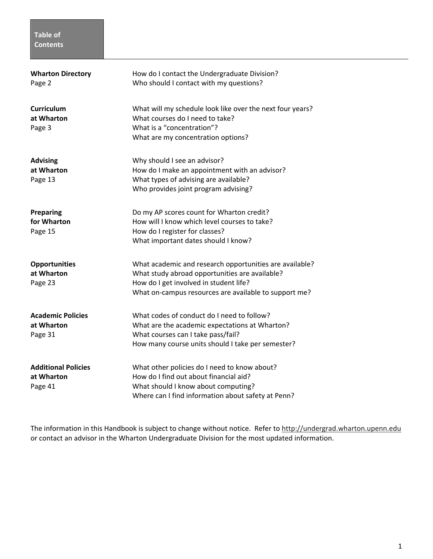## **Table of Contents**

| <b>Wharton Directory</b><br>Page 2                  | How do I contact the Undergraduate Division?<br>Who should I contact with my questions?                                                                                                                      |
|-----------------------------------------------------|--------------------------------------------------------------------------------------------------------------------------------------------------------------------------------------------------------------|
| <b>Curriculum</b><br>at Wharton<br>Page 3           | What will my schedule look like over the next four years?<br>What courses do I need to take?<br>What is a "concentration"?<br>What are my concentration options?                                             |
| <b>Advising</b><br>at Wharton<br>Page 13            | Why should I see an advisor?<br>How do I make an appointment with an advisor?<br>What types of advising are available?<br>Who provides joint program advising?                                               |
| <b>Preparing</b><br>for Wharton<br>Page 15          | Do my AP scores count for Wharton credit?<br>How will I know which level courses to take?<br>How do I register for classes?<br>What important dates should I know?                                           |
| <b>Opportunities</b><br>at Wharton<br>Page 23       | What academic and research opportunities are available?<br>What study abroad opportunities are available?<br>How do I get involved in student life?<br>What on-campus resources are available to support me? |
| <b>Academic Policies</b><br>at Wharton<br>Page 31   | What codes of conduct do I need to follow?<br>What are the academic expectations at Wharton?<br>What courses can I take pass/fail?<br>How many course units should I take per semester?                      |
| <b>Additional Policies</b><br>at Wharton<br>Page 41 | What other policies do I need to know about?<br>How do I find out about financial aid?<br>What should I know about computing?<br>Where can I find information about safety at Penn?                          |

The information in this Handbook is subject to change without notice. Refer to http://undergrad.wharton.upenn.edu or contact an advisor in the Wharton Undergraduate Division for the most updated information.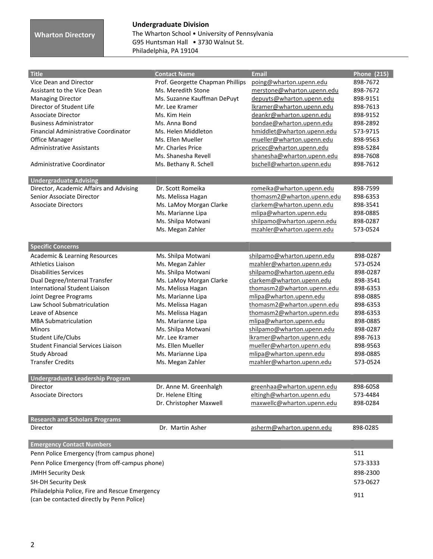## **Wharton Directory**

# **Undergraduate Division**  The Wharton School • University of Pennsylvania G95 Huntsman Hall • 3730 Walnut St.

| G95 Huntsman Hall • 3730 Walnut St. |  |
|-------------------------------------|--|
| Philadelphia, PA 19104              |  |

| <b>Title</b>                                   | <b>Contact Name</b>              | <b>Email</b>               | <b>Phone (215)</b> |
|------------------------------------------------|----------------------------------|----------------------------|--------------------|
| Vice Dean and Director                         | Prof. Georgette Chapman Phillips | poing@wharton.upenn.edu    | 898-7672           |
| Assistant to the Vice Dean                     | Ms. Meredith Stone               | merstone@wharton.upenn.edu | 898-7672           |
| <b>Managing Director</b>                       | Ms. Suzanne Kauffman DePuyt      | depuyts@wharton.upenn.edu  | 898-9151           |
| Director of Student Life                       | Mr. Lee Kramer                   | Ikramer@wharton.upenn.edu  | 898-7613           |
| <b>Associate Director</b>                      | Ms. Kim Hein                     | deankr@wharton.upenn.edu   | 898-9152           |
| <b>Business Administrator</b>                  | Ms. Anna Bond                    | bondae@wharton.upenn.edu   | 898-2892           |
| <b>Financial Administrative Coordinator</b>    | Ms. Helen Middleton              | hmiddlet@wharton.upenn.edu | 573-9715           |
| <b>Office Manager</b>                          | Ms. Ellen Mueller                | mueller@wharton.upenn.edu  | 898-9563           |
| <b>Administrative Assistants</b>               | Mr. Charles Price                | pricec@wharton.upenn.edu   | 898-5284           |
|                                                | Ms. Shanesha Revell              | shanesha@wharton.upenn.edu | 898-7608           |
| Administrative Coordinator                     | Ms. Bethany R. Schell            | bschell@wharton.upenn.edu  | 898-7612           |
|                                                |                                  |                            |                    |
| <b>Undergraduate Advising</b>                  |                                  |                            |                    |
| Director, Academic Affairs and Advising        | Dr. Scott Romeika                | romeika@wharton.upenn.edu  | 898-7599           |
| Senior Associate Director                      | Ms. Melissa Hagan                | thomasm2@wharton.upenn.edu | 898-6353           |
| <b>Associate Directors</b>                     | Ms. LaMoy Morgan Clarke          | clarkem@wharton.upenn.edu  | 898-3541           |
|                                                | Ms. Marianne Lipa                | mlipa@wharton.upenn.edu    | 898-0885           |
|                                                | Ms. Shilpa Motwani               | shilpamo@wharton.upenn.edu | 898-0287           |
|                                                | Ms. Megan Zahler                 | mzahler@wharton.upenn.edu  | 573-0524           |
| <b>Specific Concerns</b>                       |                                  |                            |                    |
| Academic & Learning Resources                  | Ms. Shilpa Motwani               | shilpamo@wharton.upenn.edu | 898-0287           |
| <b>Athletics Liaison</b>                       | Ms. Megan Zahler                 | mzahler@wharton.upenn.edu  | 573-0524           |
| <b>Disabilities Services</b>                   | Ms. Shilpa Motwani               | shilpamo@wharton.upenn.edu | 898-0287           |
| Dual Degree/Internal Transfer                  | Ms. LaMoy Morgan Clarke          | clarkem@wharton.upenn.edu  | 898-3541           |
| <b>International Student Liaison</b>           | Ms. Melissa Hagan                | thomasm2@wharton.upenn.edu | 898-6353           |
| Joint Degree Programs                          | Ms. Marianne Lipa                | mlipa@wharton.upenn.edu    | 898-0885           |
| Law School Submatriculation                    | Ms. Melissa Hagan                | thomasm2@wharton.upenn.edu | 898-6353           |
| Leave of Absence                               | Ms. Melissa Hagan                | thomasm2@wharton.upenn.edu | 898-6353           |
| <b>MBA Submatriculation</b>                    | Ms. Marianne Lipa                | mlipa@wharton.upenn.edu    | 898-0885           |
| <b>Minors</b>                                  | Ms. Shilpa Motwani               | shilpamo@wharton.upenn.edu | 898-0287           |
| Student Life/Clubs                             | Mr. Lee Kramer                   | Ikramer@wharton.upenn.edu  | 898-7613           |
| <b>Student Financial Services Liaison</b>      | Ms. Ellen Mueller                | mueller@wharton.upenn.edu  | 898-9563           |
| <b>Study Abroad</b>                            | Ms. Marianne Lipa                | mlipa@wharton.upenn.edu    | 898-0885           |
| <b>Transfer Credits</b>                        | Ms. Megan Zahler                 | mzahler@wharton.upenn.edu  | 573-0524           |
|                                                |                                  |                            |                    |
| <b>Undergraduate Leadership Program</b>        |                                  |                            |                    |
| Director                                       | Dr. Anne M. Greenhalgh           | greenhaa@wharton.upenn.edu | 898-6058           |
| <b>Associate Directors</b>                     | Dr. Helene Elting                | eltingh@wharton.upenn.edu  | 573-4484           |
|                                                | Dr. Christopher Maxwell          | maxwellc@wharton.upenn.edu | 898-0284           |
| <b>Research and Scholars Programs</b>          |                                  |                            |                    |
| Director                                       | Dr. Martin Asher                 | asherm@wharton.upenn.edu   | 898-0285           |
|                                                |                                  |                            |                    |
| <b>Emergency Contact Numbers</b>               |                                  |                            |                    |
| Penn Police Emergency (from campus phone)      |                                  |                            | 511                |
| Penn Police Emergency (from off-campus phone)  |                                  |                            | 573-3333           |
| <b>JMHH Security Desk</b>                      |                                  |                            | 898-2300           |
| <b>SH-DH Security Desk</b>                     |                                  |                            | 573-0627           |
| Philadelphia Police, Fire and Rescue Emergency |                                  |                            | 911                |
| (can be contacted directly by Penn Police)     |                                  |                            |                    |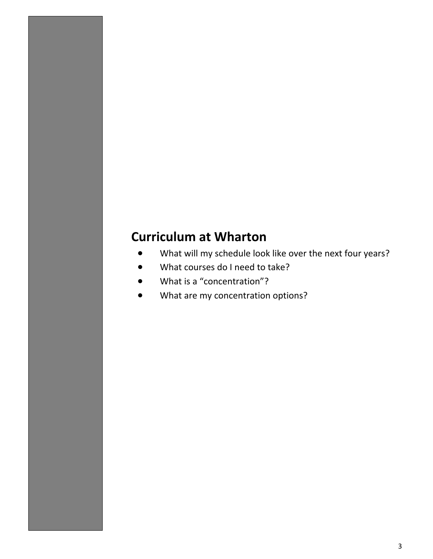# **Curriculum at Wharton**

- What will my schedule look like over the next four years?
- What courses do I need to take?
- What is a "concentration"?
- What are my concentration options?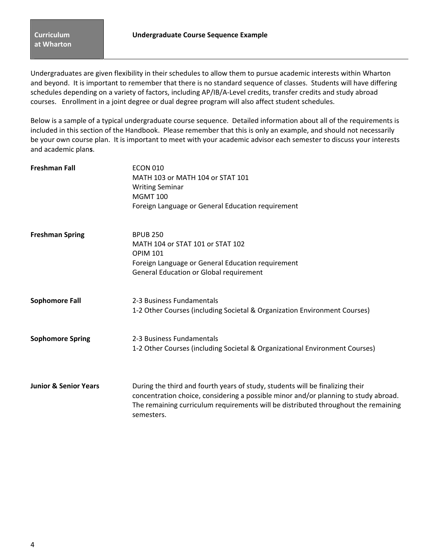Undergraduates are given flexibility in their schedules to allow them to pursue academic interests within Wharton and beyond. It is important to remember that there is no standard sequence of classes. Students will have differing schedules depending on a variety of factors, including AP/IB/A-Level credits, transfer credits and study abroad courses. Enrollment in a joint degree or dual degree program will also affect student schedules.

Below is a sample of a typical undergraduate course sequence. Detailed information about all of the requirements is included in this section of the Handbook. Please remember that this is only an example, and should not necessarily be your own course plan. It is important to meet with your academic advisor each semester to discuss your interests and academic plan**s**.

| <b>Freshman Fall</b>             | <b>ECON 010</b><br>MATH 103 or MATH 104 or STAT 101<br><b>Writing Seminar</b><br><b>MGMT 100</b><br>Foreign Language or General Education requirement                                                                                                                    |
|----------------------------------|--------------------------------------------------------------------------------------------------------------------------------------------------------------------------------------------------------------------------------------------------------------------------|
| <b>Freshman Spring</b>           | <b>BPUB 250</b><br>MATH 104 or STAT 101 or STAT 102<br><b>OPIM 101</b><br>Foreign Language or General Education requirement<br><b>General Education or Global requirement</b>                                                                                            |
| <b>Sophomore Fall</b>            | 2-3 Business Fundamentals<br>1-2 Other Courses (including Societal & Organization Environment Courses)                                                                                                                                                                   |
| <b>Sophomore Spring</b>          | 2-3 Business Fundamentals<br>1-2 Other Courses (including Societal & Organizational Environment Courses)                                                                                                                                                                 |
| <b>Junior &amp; Senior Years</b> | During the third and fourth years of study, students will be finalizing their<br>concentration choice, considering a possible minor and/or planning to study abroad.<br>The remaining curriculum requirements will be distributed throughout the remaining<br>semesters. |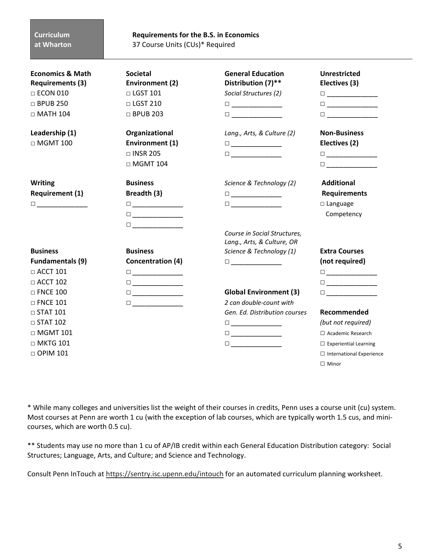### **Curriculum at Wharton**

**Requirements for the B.S. in Economics**  37 Course Units (CUs)\* Required

| <b>Economics &amp; Math</b><br><b>Requirements (3)</b> | <b>Societal</b><br>Environment (2)      | <b>General Education</b><br>Distribution (7)**                                                                                                                                    | <b>Unrestricted</b><br>Electives (3)                                                                                                                                              |
|--------------------------------------------------------|-----------------------------------------|-----------------------------------------------------------------------------------------------------------------------------------------------------------------------------------|-----------------------------------------------------------------------------------------------------------------------------------------------------------------------------------|
| $\Box$ ECON 010                                        | $\Box$ LGST 101                         | Social Structures (2)                                                                                                                                                             | $\begin{tabular}{ c c c c } \hline \quad \quad & \quad \quad & \quad \quad & \quad \quad \\ \hline \end{tabular}$                                                                 |
| $\Box$ BPUB 250                                        | $\Box$ LGST 210                         |                                                                                                                                                                                   | $\begin{tabular}{ c c c c } \hline \quad \quad & \quad \quad & \quad \quad & \quad \quad \\ \hline \end{tabular}$                                                                 |
| $\Box$ MATH 104                                        | $\Box$ BPUB 203                         | $\Box$ and $\Box$ and $\Box$ and $\Box$                                                                                                                                           |                                                                                                                                                                                   |
| Leadership (1)                                         | Organizational                          | Lang., Arts, & Culture (2)                                                                                                                                                        | <b>Non-Business</b>                                                                                                                                                               |
| $\Box$ MGMT 100                                        | Environment (1)                         | $\Box \underbrace{\phantom{aaaaaaa}}$                                                                                                                                             | Electives (2)                                                                                                                                                                     |
|                                                        | $\Box$ INSR 205                         |                                                                                                                                                                                   | $\Box \underbrace{\phantom{aaaaaaa}}$                                                                                                                                             |
|                                                        | $\Box$ MGMT 104                         |                                                                                                                                                                                   | $\Box$ $\qquad \qquad \Box$                                                                                                                                                       |
| <b>Writing</b>                                         | <b>Business</b>                         | Science & Technology (2)                                                                                                                                                          | <b>Additional</b>                                                                                                                                                                 |
| <b>Requirement (1)</b>                                 | Breadth (3)                             | $\begin{tabular}{ c c c c } \hline \quad \quad & \quad \quad & \quad \quad & \quad \quad \\ \hline \quad \quad & \quad \quad & \quad \quad & \quad \quad \\ \hline \end{tabular}$ | <b>Requirements</b>                                                                                                                                                               |
| $\Box$                                                 | $\Box$                                  | $\begin{tabular}{ c c c c } \hline \quad \quad & \quad \quad & \quad \quad & \quad \quad \\ \hline \quad \quad & \quad \quad & \quad \quad & \quad \quad \\ \hline \end{tabular}$ | $\square$ Language                                                                                                                                                                |
|                                                        |                                         |                                                                                                                                                                                   | Competency                                                                                                                                                                        |
|                                                        |                                         |                                                                                                                                                                                   |                                                                                                                                                                                   |
|                                                        |                                         | Course in Social Structures,<br>Lang., Arts, & Culture, OR                                                                                                                        |                                                                                                                                                                                   |
| <b>Business</b>                                        | <b>Business</b>                         | Science & Technology (1)                                                                                                                                                          | <b>Extra Courses</b>                                                                                                                                                              |
| <b>Fundamentals (9)</b>                                | Concentration (4)                       | $\Box \underbrace{\phantom{aaaaaaa}}$                                                                                                                                             | (not required)                                                                                                                                                                    |
| $\Box$ ACCT 101                                        | $\Box \underbrace{\phantom{aaaaaaa}}$   |                                                                                                                                                                                   | $\Box \underbrace{\phantom{aaaaaaa}}$                                                                                                                                             |
| $\Box$ ACCT 102                                        | $\Box \underbrace{\phantom{aaaaaaa}}$   |                                                                                                                                                                                   | $\begin{tabular}{ c c c c } \hline \quad \quad & \quad \quad & \quad \quad & \quad \quad \\ \hline \quad \quad & \quad \quad & \quad \quad & \quad \quad \\ \hline \end{tabular}$ |
| $\Box$ FNCE 100                                        | $\Box$ and $\Box$ and $\Box$ and $\Box$ | <b>Global Environment (3)</b>                                                                                                                                                     | $\Box$ and the set of $\Box$ and $\Box$ and $\Box$                                                                                                                                |
| $\Box$ FNCE 101                                        | $\Box \underbrace{\phantom{aaaaaaa}}$   | 2 can double-count with                                                                                                                                                           |                                                                                                                                                                                   |
| $\Box$ STAT 101                                        |                                         | Gen. Ed. Distribution courses                                                                                                                                                     | Recommended                                                                                                                                                                       |
| $\Box$ STAT 102                                        |                                         | $\square$ ___________________                                                                                                                                                     | (but not required)                                                                                                                                                                |
| $\Box$ MGMT 101                                        |                                         | $\Box$ and $\Box$ and $\Box$ and $\Box$                                                                                                                                           | □ Academic Research                                                                                                                                                               |
| $\Box$ MKTG 101                                        |                                         | $\Box$ and the state $\Box$                                                                                                                                                       | $\Box$ Experiential Learning                                                                                                                                                      |
| $\Box$ OPIM 101                                        |                                         |                                                                                                                                                                                   | $\Box$ International Experience                                                                                                                                                   |
|                                                        |                                         |                                                                                                                                                                                   | $\Box$ Minor                                                                                                                                                                      |

\* While many colleges and universities list the weight of their courses in credits, Penn uses a course unit (cu) system. Most courses at Penn are worth 1 cu (with the exception of lab courses, which are typically worth 1.5 cus, and minicourses, which are worth 0.5 cu).

\*\* Students may use no more than 1 cu of AP/IB credit within each General Education Distribution category: Social Structures; Language, Arts, and Culture; and Science and Technology.

Consult Penn InTouch at https://sentry.isc.upenn.edu/intouch for an automated curriculum planning worksheet.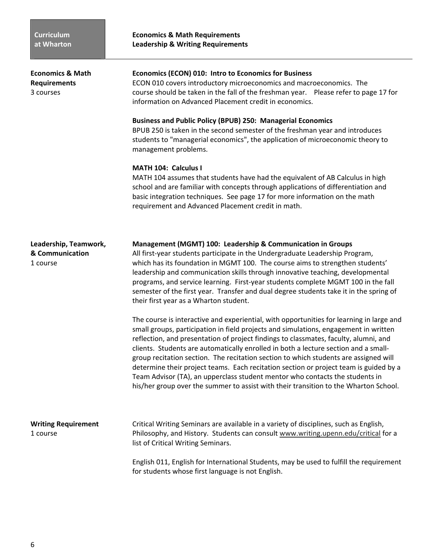**Economics & Math****Economics (ECON) 010: Intro to Economics for Business Requirements** ECON 010 covers introductory microeconomics and macroeconomics. The 3 coursescourse should be taken in the fall of the freshman year. Please refer to page 17 for information on Advanced Placement credit in economics. **Business and Public Policy (BPUB) 250: Managerial Economics**  BPUB 250 is taken in the second semester of the freshman year and introduces students to "managerial economics", the application of microeconomic theory to management problems. **MATH 104: Calculus I**  MATH 104 assumes that students have had the equivalent of AB Calculus in high school and are familiar with concepts through applications of differentiation and basic integration techniques. See page 17 for more information on the math requirement and Advanced Placement credit in math. **Leadership, Teamwork,****Management (MGMT) 100: Leadership & Communication in Groups & Communication** All first-year students participate in the Undergraduate Leadership Program, 1 course which has its foundation in MGMT 100. The course aims to strengthen students' leadership and communication skills through innovative teaching, developmental programs, and service learning. First-year students complete MGMT 100 in the fall semester of the first year. Transfer and dual degree students take it in the spring of their first year as a Wharton student. The course is interactive and experiential, with opportunities for learning in large and small groups, participation in field projects and simulations, engagement in written reflection, and presentation of project findings to classmates, faculty, alumni, and clients. Students are automatically enrolled in both a lecture section and a smallgroup recitation section. The recitation section to which students are assigned will determine their project teams. Each recitation section or project team is guided by a Team Advisor (TA), an upperclass student mentor who contacts the students in his/her group over the summer to assist with their transition to the Wharton School. **Writing Requirement**Critical Writing Seminars are available in a variety of disciplines, such as English, 1 course Philosophy, and History. Students can consult www.writing.upenn.edu/critical for a list of Critical Writing Seminars. English 011, English for International Students, may be used to fulfill the requirement

for students whose first language is not English.

**Economics & Math Requirements Leadership & Writing Requirements**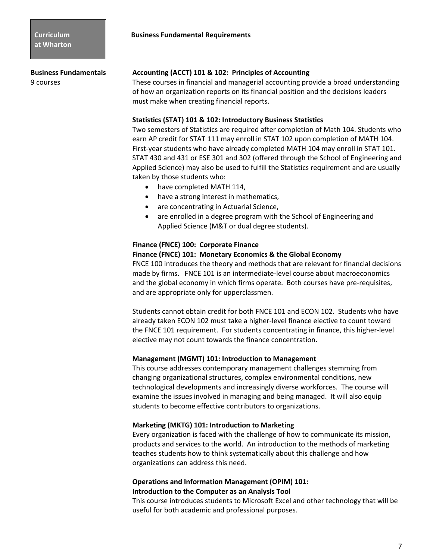**Business Fundamental Requirements** 

**Business Fundamentals Accounting (ACCT) 101 & 102: Principles of Accounting**

9 courses These courses in financial and managerial accounting provide a broad understanding of how an organization reports on its financial position and the decisions leaders must make when creating financial reports.

### **Statistics (STAT) 101 & 102: Introductory Business Statistics**

Two semesters of Statistics are required after completion of Math 104. Students who earn AP credit for STAT 111 may enroll in STAT 102 upon completion of MATH 104. First-year students who have already completed MATH 104 may enroll in STAT 101. STAT 430 and 431 or ESE 301 and 302 (offered through the School of Engineering and Applied Science) may also be used to fulfill the Statistics requirement and are usually taken by those students who:

- have completed MATH 114,
- have a strong interest in mathematics,
- are concentrating in Actuarial Science,
- are enrolled in a degree program with the School of Engineering and Applied Science (M&T or dual degree students).

## **Finance (FNCE) 100: Corporate Finance**

### **Finance (FNCE) 101: Monetary Economics & the Global Economy**

FNCE 100 introduces the theory and methods that are relevant for financial decisions made by firms. FNCE 101 is an intermediate-level course about macroeconomics and the global economy in which firms operate. Both courses have pre-requisites, and are appropriate only for upperclassmen.

Students cannot obtain credit for both FNCE 101 and ECON 102. Students who have already taken ECON 102 must take a higher-level finance elective to count toward the FNCE 101 requirement. For students concentrating in finance, this higher-level elective may not count towards the finance concentration.

### **Management (MGMT) 101: Introduction to Management**

This course addresses contemporary management challenges stemming from changing organizational structures, complex environmental conditions, new technological developments and increasingly diverse workforces. The course will examine the issues involved in managing and being managed. It will also equip students to become effective contributors to organizations.

### **Marketing (MKTG) 101: Introduction to Marketing**

Every organization is faced with the challenge of how to communicate its mission, products and services to the world. An introduction to the methods of marketing teaches students how to think systematically about this challenge and how organizations can address this need.

## **Operations and Information Management (OPIM) 101: Introduction to the Computer as an Analysis Tool**

This course introduces students to Microsoft Excel and other technology that will be useful for both academic and professional purposes.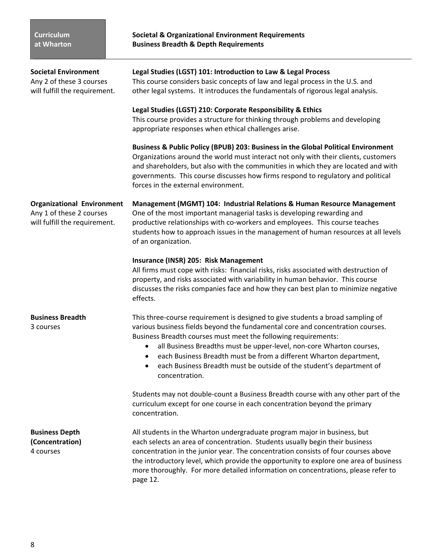| <b>Societal Environment</b><br>Any 2 of these 3 courses<br>will fulfill the requirement.       | Legal Studies (LGST) 101: Introduction to Law & Legal Process<br>This course considers basic concepts of law and legal process in the U.S. and<br>other legal systems. It introduces the fundamentals of rigorous legal analysis.<br>Legal Studies (LGST) 210: Corporate Responsibility & Ethics                                                                                                                                                                                                                  |  |
|------------------------------------------------------------------------------------------------|-------------------------------------------------------------------------------------------------------------------------------------------------------------------------------------------------------------------------------------------------------------------------------------------------------------------------------------------------------------------------------------------------------------------------------------------------------------------------------------------------------------------|--|
|                                                                                                | This course provides a structure for thinking through problems and developing<br>appropriate responses when ethical challenges arise.                                                                                                                                                                                                                                                                                                                                                                             |  |
|                                                                                                | Business & Public Policy (BPUB) 203: Business in the Global Political Environment<br>Organizations around the world must interact not only with their clients, customers<br>and shareholders, but also with the communities in which they are located and with<br>governments. This course discusses how firms respond to regulatory and political<br>forces in the external environment.                                                                                                                         |  |
| <b>Organizational Environment</b><br>Any 1 of these 2 courses<br>will fulfill the requirement. | <b>Management (MGMT) 104: Industrial Relations &amp; Human Resource Management</b><br>One of the most important managerial tasks is developing rewarding and<br>productive relationships with co-workers and employees. This course teaches<br>students how to approach issues in the management of human resources at all levels<br>of an organization.                                                                                                                                                          |  |
|                                                                                                | Insurance (INSR) 205: Risk Management<br>All firms must cope with risks: financial risks, risks associated with destruction of<br>property, and risks associated with variability in human behavior. This course<br>discusses the risks companies face and how they can best plan to minimize negative<br>effects.                                                                                                                                                                                                |  |
| <b>Business Breadth</b><br>3 courses                                                           | This three-course requirement is designed to give students a broad sampling of<br>various business fields beyond the fundamental core and concentration courses.<br>Business Breadth courses must meet the following requirements:<br>all Business Breadths must be upper-level, non-core Wharton courses,<br>$\bullet$<br>each Business Breadth must be from a different Wharton department,<br>$\bullet$<br>each Business Breadth must be outside of the student's department of<br>$\bullet$<br>concentration. |  |
|                                                                                                | Students may not double-count a Business Breadth course with any other part of the<br>curriculum except for one course in each concentration beyond the primary<br>concentration.                                                                                                                                                                                                                                                                                                                                 |  |
| <b>Business Depth</b><br>(Concentration)<br>4 courses                                          | All students in the Wharton undergraduate program major in business, but<br>each selects an area of concentration. Students usually begin their business<br>concentration in the junior year. The concentration consists of four courses above<br>the introductory level, which provide the opportunity to explore one area of business<br>more thoroughly. For more detailed information on concentrations, please refer to<br>page 12.                                                                          |  |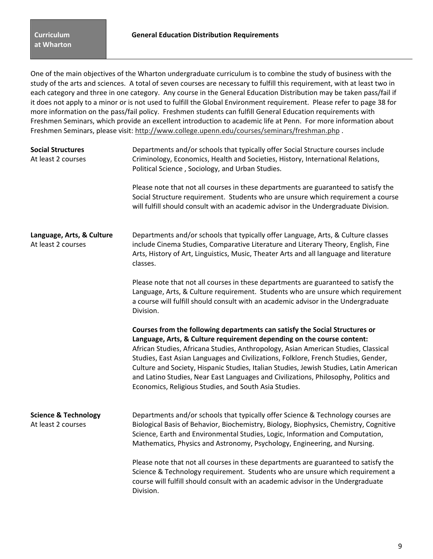One of the main objectives of the Wharton undergraduate curriculum is to combine the study of business with the study of the arts and sciences. A total of seven courses are necessary to fulfill this requirement, with at least two in each category and three in one category. Any course in the General Education Distribution may be taken pass/fail if it does not apply to a minor or is not used to fulfill the Global Environment requirement. Please refer to page 38 for more information on the pass/fail policy. Freshmen students can fulfill General Education requirements with Freshmen Seminars, which provide an excellent introduction to academic life at Penn. For more information about Freshmen Seminars, please visit: http://www.college.upenn.edu/courses/seminars/freshman.php .

| <b>Social Structures</b><br>At least 2 courses        | Departments and/or schools that typically offer Social Structure courses include<br>Criminology, Economics, Health and Societies, History, International Relations,<br>Political Science, Sociology, and Urban Studies.                                                                                                                                                                                                                                                                                                                                                     |  |  |
|-------------------------------------------------------|-----------------------------------------------------------------------------------------------------------------------------------------------------------------------------------------------------------------------------------------------------------------------------------------------------------------------------------------------------------------------------------------------------------------------------------------------------------------------------------------------------------------------------------------------------------------------------|--|--|
|                                                       | Please note that not all courses in these departments are guaranteed to satisfy the<br>Social Structure requirement. Students who are unsure which requirement a course<br>will fulfill should consult with an academic advisor in the Undergraduate Division.                                                                                                                                                                                                                                                                                                              |  |  |
| Language, Arts, & Culture<br>At least 2 courses       | Departments and/or schools that typically offer Language, Arts, & Culture classes<br>include Cinema Studies, Comparative Literature and Literary Theory, English, Fine<br>Arts, History of Art, Linguistics, Music, Theater Arts and all language and literature<br>classes.                                                                                                                                                                                                                                                                                                |  |  |
|                                                       | Please note that not all courses in these departments are guaranteed to satisfy the<br>Language, Arts, & Culture requirement. Students who are unsure which requirement<br>a course will fulfill should consult with an academic advisor in the Undergraduate<br>Division.                                                                                                                                                                                                                                                                                                  |  |  |
|                                                       | Courses from the following departments can satisfy the Social Structures or<br>Language, Arts, & Culture requirement depending on the course content:<br>African Studies, Africana Studies, Anthropology, Asian American Studies, Classical<br>Studies, East Asian Languages and Civilizations, Folklore, French Studies, Gender,<br>Culture and Society, Hispanic Studies, Italian Studies, Jewish Studies, Latin American<br>and Latino Studies, Near East Languages and Civilizations, Philosophy, Politics and<br>Economics, Religious Studies, and South Asia Studies. |  |  |
| <b>Science &amp; Technology</b><br>At least 2 courses | Departments and/or schools that typically offer Science & Technology courses are<br>Biological Basis of Behavior, Biochemistry, Biology, Biophysics, Chemistry, Cognitive<br>Science, Earth and Environmental Studies, Logic, Information and Computation,<br>Mathematics, Physics and Astronomy, Psychology, Engineering, and Nursing.                                                                                                                                                                                                                                     |  |  |
|                                                       |                                                                                                                                                                                                                                                                                                                                                                                                                                                                                                                                                                             |  |  |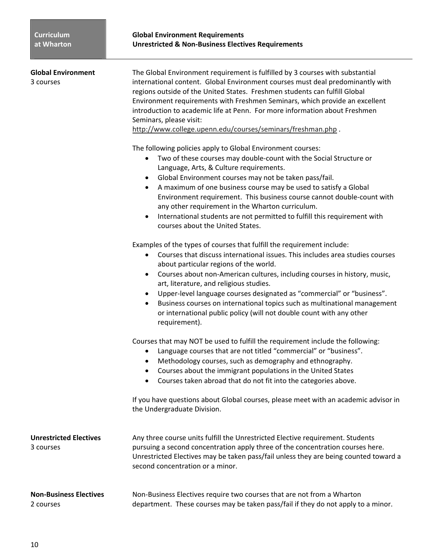| <b>Global Environment</b><br>3 courses     | The Global Environment requirement is fulfilled by 3 courses with substantial<br>international content. Global Environment courses must deal predominantly with<br>regions outside of the United States. Freshmen students can fulfill Global<br>Environment requirements with Freshmen Seminars, which provide an excellent<br>introduction to academic life at Penn. For more information about Freshmen<br>Seminars, please visit:<br>http://www.college.upenn.edu/courses/seminars/freshman.php.                                                                                                                          |
|--------------------------------------------|-------------------------------------------------------------------------------------------------------------------------------------------------------------------------------------------------------------------------------------------------------------------------------------------------------------------------------------------------------------------------------------------------------------------------------------------------------------------------------------------------------------------------------------------------------------------------------------------------------------------------------|
|                                            | The following policies apply to Global Environment courses:<br>Two of these courses may double-count with the Social Structure or<br>$\bullet$<br>Language, Arts, & Culture requirements.<br>Global Environment courses may not be taken pass/fail.<br>$\bullet$<br>A maximum of one business course may be used to satisfy a Global<br>$\bullet$<br>Environment requirement. This business course cannot double-count with<br>any other requirement in the Wharton curriculum.<br>International students are not permitted to fulfill this requirement with<br>$\bullet$<br>courses about the United States.                 |
|                                            | Examples of the types of courses that fulfill the requirement include:<br>Courses that discuss international issues. This includes area studies courses<br>$\bullet$<br>about particular regions of the world.<br>Courses about non-American cultures, including courses in history, music,<br>$\bullet$<br>art, literature, and religious studies.<br>Upper-level language courses designated as "commercial" or "business".<br>$\bullet$<br>Business courses on international topics such as multinational management<br>$\bullet$<br>or international public policy (will not double count with any other<br>requirement). |
|                                            | Courses that may NOT be used to fulfill the requirement include the following:<br>Language courses that are not titled "commercial" or "business".<br>٠<br>Methodology courses, such as demography and ethnography.<br>٠<br>Courses about the immigrant populations in the United States<br>$\bullet$<br>Courses taken abroad that do not fit into the categories above                                                                                                                                                                                                                                                       |
|                                            | If you have questions about Global courses, please meet with an academic advisor in<br>the Undergraduate Division.                                                                                                                                                                                                                                                                                                                                                                                                                                                                                                            |
| <b>Unrestricted Electives</b><br>3 courses | Any three course units fulfill the Unrestricted Elective requirement. Students<br>pursuing a second concentration apply three of the concentration courses here.<br>Unrestricted Electives may be taken pass/fail unless they are being counted toward a<br>second concentration or a minor.                                                                                                                                                                                                                                                                                                                                  |
| <b>Non-Business Electives</b><br>2 courses | Non-Business Electives require two courses that are not from a Wharton<br>department. These courses may be taken pass/fail if they do not apply to a minor.                                                                                                                                                                                                                                                                                                                                                                                                                                                                   |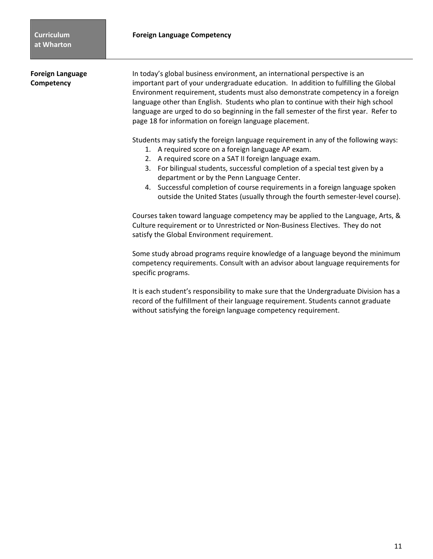**Foreign Language** In today's global business environment, an international perspective is an **Competency** important part of your undergraduate education. In addition to fulfilling the Global Environment requirement, students must also demonstrate competency in a foreign language other than English. Students who plan to continue with their high school language are urged to do so beginning in the fall semester of the first year. Refer to page 18 for information on foreign language placement.

Students may satisfy the foreign language requirement in any of the following ways:

- 1. A required score on a foreign language AP exam.
- 2. A required score on a SAT II foreign language exam.
- 3. For bilingual students, successful completion of a special test given by a department or by the Penn Language Center.
- 4. Successful completion of course requirements in a foreign language spoken outside the United States (usually through the fourth semester-level course).

Courses taken toward language competency may be applied to the Language, Arts, & Culture requirement or to Unrestricted or Non-Business Electives. They do not satisfy the Global Environment requirement.

Some study abroad programs require knowledge of a language beyond the minimum competency requirements. Consult with an advisor about language requirements for specific programs.

It is each student's responsibility to make sure that the Undergraduate Division has a record of the fulfillment of their language requirement. Students cannot graduate without satisfying the foreign language competency requirement.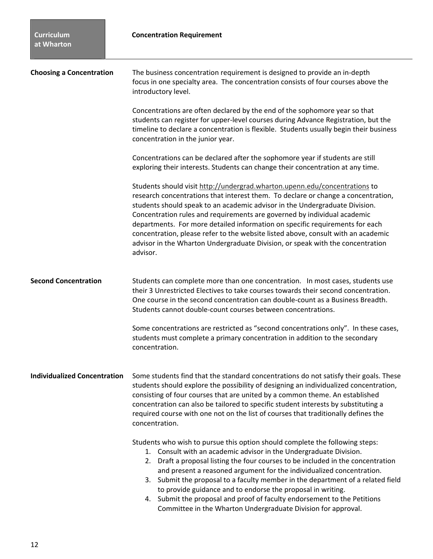| <b>Curriculum</b><br>at Wharton     | <b>Concentration Requirement</b>                                                                                                                                                                                                                                                                                                                                                                                                                                                                                                                                                                               |  |
|-------------------------------------|----------------------------------------------------------------------------------------------------------------------------------------------------------------------------------------------------------------------------------------------------------------------------------------------------------------------------------------------------------------------------------------------------------------------------------------------------------------------------------------------------------------------------------------------------------------------------------------------------------------|--|
| <b>Choosing a Concentration</b>     | The business concentration requirement is designed to provide an in-depth<br>focus in one specialty area. The concentration consists of four courses above the<br>introductory level.                                                                                                                                                                                                                                                                                                                                                                                                                          |  |
|                                     | Concentrations are often declared by the end of the sophomore year so that<br>students can register for upper-level courses during Advance Registration, but the<br>timeline to declare a concentration is flexible. Students usually begin their business<br>concentration in the junior year.                                                                                                                                                                                                                                                                                                                |  |
|                                     | Concentrations can be declared after the sophomore year if students are still<br>exploring their interests. Students can change their concentration at any time.                                                                                                                                                                                                                                                                                                                                                                                                                                               |  |
|                                     | Students should visit http://undergrad.wharton.upenn.edu/concentrations to<br>research concentrations that interest them. To declare or change a concentration,<br>students should speak to an academic advisor in the Undergraduate Division.<br>Concentration rules and requirements are governed by individual academic<br>departments. For more detailed information on specific requirements for each<br>concentration, please refer to the website listed above, consult with an academic<br>advisor in the Wharton Undergraduate Division, or speak with the concentration<br>advisor.                  |  |
| <b>Second Concentration</b>         | Students can complete more than one concentration. In most cases, students use<br>their 3 Unrestricted Electives to take courses towards their second concentration.<br>One course in the second concentration can double-count as a Business Breadth.<br>Students cannot double-count courses between concentrations.                                                                                                                                                                                                                                                                                         |  |
|                                     | Some concentrations are restricted as "second concentrations only". In these cases,<br>students must complete a primary concentration in addition to the secondary<br>concentration.                                                                                                                                                                                                                                                                                                                                                                                                                           |  |
| <b>Individualized Concentration</b> | Some students find that the standard concentrations do not satisfy their goals. These<br>students should explore the possibility of designing an individualized concentration,<br>consisting of four courses that are united by a common theme. An established<br>concentration can also be tailored to specific student interests by substituting a<br>required course with one not on the list of courses that traditionally defines the<br>concentration.                                                                                                                                                   |  |
|                                     | Students who wish to pursue this option should complete the following steps:<br>1. Consult with an academic advisor in the Undergraduate Division.<br>2. Draft a proposal listing the four courses to be included in the concentration<br>and present a reasoned argument for the individualized concentration.<br>3. Submit the proposal to a faculty member in the department of a related field<br>to provide guidance and to endorse the proposal in writing.<br>4. Submit the proposal and proof of faculty endorsement to the Petitions<br>Committee in the Wharton Undergraduate Division for approval. |  |

П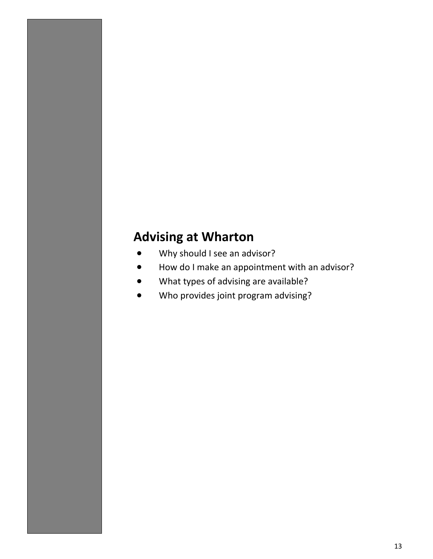# **Advising at Wharton**

- Why should I see an advisor?
- How do I make an appointment with an advisor?
- What types of advising are available?
- Who provides joint program advising?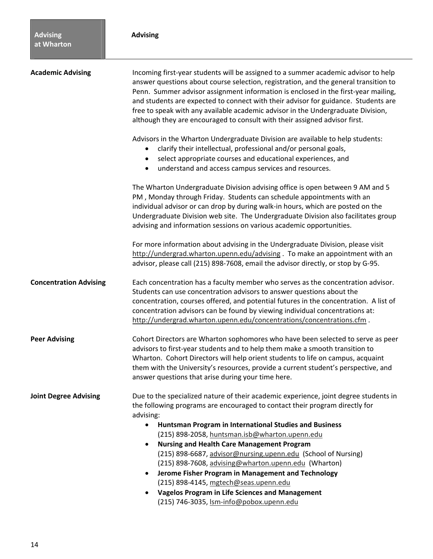| <b>Academic Advising</b>      | Incoming first-year students will be assigned to a summer academic advisor to help<br>answer questions about course selection, registration, and the general transition to<br>Penn. Summer advisor assignment information is enclosed in the first-year mailing,<br>and students are expected to connect with their advisor for guidance. Students are<br>free to speak with any available academic advisor in the Undergraduate Division,<br>although they are encouraged to consult with their assigned advisor first. |  |  |
|-------------------------------|--------------------------------------------------------------------------------------------------------------------------------------------------------------------------------------------------------------------------------------------------------------------------------------------------------------------------------------------------------------------------------------------------------------------------------------------------------------------------------------------------------------------------|--|--|
|                               | Advisors in the Wharton Undergraduate Division are available to help students:<br>clarify their intellectual, professional and/or personal goals,<br>select appropriate courses and educational experiences, and<br>$\bullet$<br>understand and access campus services and resources.<br>٠                                                                                                                                                                                                                               |  |  |
|                               | The Wharton Undergraduate Division advising office is open between 9 AM and 5<br>PM, Monday through Friday. Students can schedule appointments with an<br>individual advisor or can drop by during walk-in hours, which are posted on the<br>Undergraduate Division web site. The Undergraduate Division also facilitates group<br>advising and information sessions on various academic opportunities.                                                                                                                  |  |  |
|                               | For more information about advising in the Undergraduate Division, please visit<br>http://undergrad.wharton.upenn.edu/advising. To make an appointment with an<br>advisor, please call (215) 898-7608, email the advisor directly, or stop by G-95.                                                                                                                                                                                                                                                                      |  |  |
| <b>Concentration Advising</b> | Each concentration has a faculty member who serves as the concentration advisor.<br>Students can use concentration advisors to answer questions about the<br>concentration, courses offered, and potential futures in the concentration. A list of<br>concentration advisors can be found by viewing individual concentrations at:<br>http://undergrad.wharton.upenn.edu/concentrations/concentrations.cfm.                                                                                                              |  |  |
| <b>Peer Advising</b>          | Cohort Directors are Wharton sophomores who have been selected to serve as peer<br>advisors to first-year students and to help them make a smooth transition to<br>Wharton. Cohort Directors will help orient students to life on campus, acquaint<br>them with the University's resources, provide a current student's perspective, and<br>answer questions that arise during your time here.                                                                                                                           |  |  |
| <b>Joint Degree Advising</b>  | Due to the specialized nature of their academic experience, joint degree students in<br>the following programs are encouraged to contact their program directly for<br>advising:<br>Huntsman Program in International Studies and Business<br>$\bullet$<br>(215) 898-2058, huntsman.isb@wharton.upenn.edu<br><b>Nursing and Health Care Management Program</b><br>$\bullet$<br>(215) 898-6687, advisor@nursing.upenn.edu (School of Nursing)                                                                             |  |  |
|                               | (215) 898-7608, advising@wharton.upenn.edu (Wharton)<br>Jerome Fisher Program in Management and Technology<br>٠<br>(215) 898-4145, mgtech@seas.upenn.edu<br><b>Vagelos Program in Life Sciences and Management</b><br>$\bullet$<br>(215) 746-3035, Ism-info@pobox.upenn.edu                                                                                                                                                                                                                                              |  |  |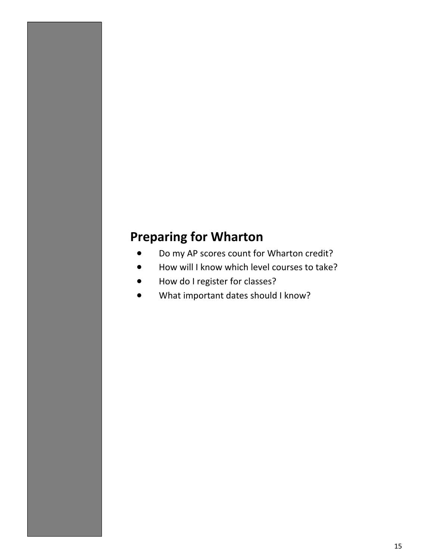# **Preparing for Wharton**

- Do my AP scores count for Wharton credit?
- How will I know which level courses to take?
- How do I register for classes?
- What important dates should I know?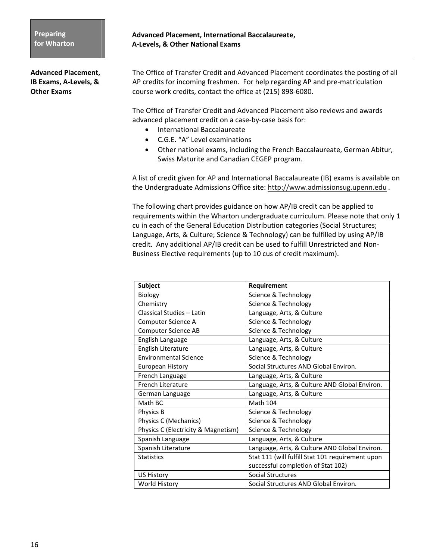**Advanced Placement,** The Office of Transfer Credit and Advanced Placement coordinates the posting of all **IB Exams, A-Levels, &** AP credits for incoming freshmen. For help regarding AP and pre-matriculation **Other Exams** course work credits, contact the office at (215) 898-6080.

> The Office of Transfer Credit and Advanced Placement also reviews and awards advanced placement credit on a case-by-case basis for:

- International Baccalaureate
- C.G.E. "A" Level examinations
- Other national exams, including the French Baccalaureate, German Abitur, Swiss Maturite and Canadian CEGEP program.

A list of credit given for AP and International Baccalaureate (IB) exams is available on the Undergraduate Admissions Office site: http://www.admissionsug.upenn.edu *.* 

The following chart provides guidance on how AP/IB credit can be applied to requirements within the Wharton undergraduate curriculum. Please note that only 1 cu in each of the General Education Distribution categories (Social Structures; Language, Arts, & Culture; Science & Technology) can be fulfilled by using AP/IB credit. Any additional AP/IB credit can be used to fulfill Unrestricted and Non-Business Elective requirements (up to 10 cus of credit maximum).

| <b>Subject</b>                      | Requirement                                      |
|-------------------------------------|--------------------------------------------------|
| Biology                             | Science & Technology                             |
| Chemistry                           | Science & Technology                             |
| Classical Studies - Latin           | Language, Arts, & Culture                        |
| Computer Science A                  | Science & Technology                             |
| <b>Computer Science AB</b>          | Science & Technology                             |
| English Language                    | Language, Arts, & Culture                        |
| English Literature                  | Language, Arts, & Culture                        |
| <b>Environmental Science</b>        | Science & Technology                             |
| <b>European History</b>             | Social Structures AND Global Environ.            |
| French Language                     | Language, Arts, & Culture                        |
| French Literature                   | Language, Arts, & Culture AND Global Environ.    |
| German Language                     | Language, Arts, & Culture                        |
| Math BC                             | <b>Math 104</b>                                  |
| Physics B                           | Science & Technology                             |
| Physics C (Mechanics)               | Science & Technology                             |
| Physics C (Electricity & Magnetism) | Science & Technology                             |
| Spanish Language                    | Language, Arts, & Culture                        |
| Spanish Literature                  | Language, Arts, & Culture AND Global Environ.    |
| <b>Statistics</b>                   | Stat 111 (will fulfill Stat 101 requirement upon |
|                                     | successful completion of Stat 102)               |
| <b>US History</b>                   | <b>Social Structures</b>                         |
| World History                       | Social Structures AND Global Environ.            |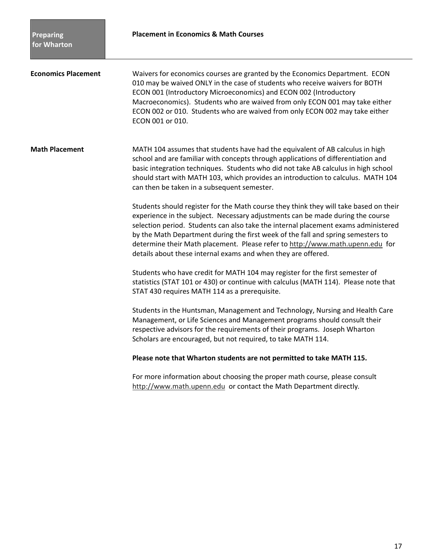**Economics Placement** Waivers for economics courses are granted by the Economics Department. ECON 010 may be waived ONLY in the case of students who receive waivers for BOTH ECON 001 (Introductory Microeconomics) and ECON 002 (Introductory Macroeconomics). Students who are waived from only ECON 001 may take either ECON 002 or 010. Students who are waived from only ECON 002 may take either ECON 001 or 010.

**Math Placement** MATH 104 assumes that students have had the equivalent of AB calculus in high school and are familiar with concepts through applications of differentiation and basic integration techniques. Students who did not take AB calculus in high school should start with MATH 103, which provides an introduction to calculus. MATH 104 can then be taken in a subsequent semester.

> Students should register for the Math course they think they will take based on their experience in the subject. Necessary adjustments can be made during the course selection period. Students can also take the internal placement exams administered by the Math Department during the first week of the fall and spring semesters to determine their Math placement. Please refer to http://www.math.upenn.edu for details about these internal exams and when they are offered.

Students who have credit for MATH 104 may register for the first semester of statistics (STAT 101 or 430) or continue with calculus (MATH 114). Please note that STAT 430 requires MATH 114 as a prerequisite.

Students in the Huntsman, Management and Technology, Nursing and Health Care Management, or Life Sciences and Management programs should consult their respective advisors for the requirements of their programs. Joseph Wharton Scholars are encouraged, but not required, to take MATH 114.

### **Please note that Wharton students are not permitted to take MATH 115.**

For more information about choosing the proper math course, please consult http://www.math.upenn.edu or contact the Math Department directly*.*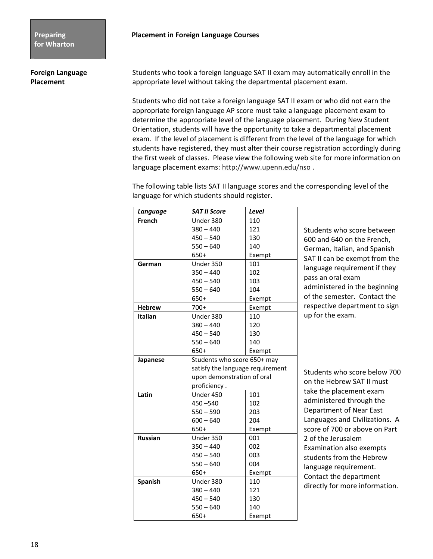**Foreign Language** Students who took a foreign language SAT II exam may automatically enroll in the **Placement a** appropriate level without taking the departmental placement exam.

> Students who did not take a foreign language SAT II exam or who did not earn the appropriate foreign language AP score must take a language placement exam to determine the appropriate level of the language placement. During New Student Orientation, students will have the opportunity to take a departmental placement exam. If the level of placement is different from the level of the language for which students have registered, they must alter their course registration accordingly during the first week of classes. Please view the following web site for more information on language placement exams: http://www.upenn.edu/nso .

The following table lists SAT II language scores and the corresponding level of the language for which students should register.

| Language       | <b>SAT II Score</b>              | Level  |
|----------------|----------------------------------|--------|
| French         | Under 380                        | 110    |
|                | $380 - 440$                      | 121    |
|                | $450 - 540$                      | 130    |
|                | $550 - 640$                      | 140    |
|                | 650+                             | Exempt |
| German         | Under 350                        | 101    |
|                | $350 - 440$                      | 102    |
|                | $450 - 540$                      | 103    |
|                | $550 - 640$                      | 104    |
|                | 650+                             | Exempt |
| <b>Hebrew</b>  | $700+$                           | Exempt |
| <b>Italian</b> | Under 380                        | 110    |
|                | $380 - 440$                      | 120    |
|                | $450 - 540$                      | 130    |
|                | $550 - 640$                      | 140    |
|                | $650+$<br>Exempt                 |        |
| Japanese       | Students who score 650+ may      |        |
|                | satisfy the language requirement |        |
|                | upon demonstration of oral       |        |
|                | proficiency.                     |        |
| Latin          | Under 450                        | 101    |
|                | $450 - 540$                      | 102    |
|                | 203<br>$550 - 590$               |        |
|                | $600 - 640$<br>204               |        |
|                | 650+<br>Exempt                   |        |
| <b>Russian</b> | Under 350<br>001                 |        |
|                | $350 - 440$                      | 002    |
|                | $450 - 540$                      | 003    |
|                | $550 - 640$                      | 004    |
|                | 650+<br>Exempt                   |        |
| <b>Spanish</b> | Under 380                        | 110    |
|                | $380 - 440$                      | 121    |
|                | $450 - 540$                      | 130    |
|                | $550 - 640$                      | 140    |
|                | 650+                             | Exempt |

Students who score between 600 and 640 on the French, German, Italian, and Spanish SAT II can be exempt from the language requirement if they pass an oral exam administered in the beginning of the semester. Contact the respective department to sign up for the exam.

Students who score below 700 on the Hebrew SAT II must take the placement exam administered through the Department of Near East Languages and Civilizations. A score of 700 or above on Part 2 of the Jerusalem Examination also exempts students from the Hebrew language requirement. Contact the department directly for more information.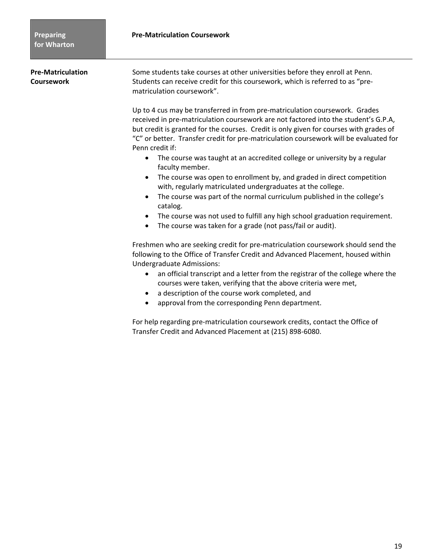**Pre-Matriculation** Some students take courses at other universities before they enroll at Penn. **Coursework <b>Students** can receive credit for this coursework, which is referred to as "prematriculation coursework".

> Up to 4 cus may be transferred in from pre-matriculation coursework. Grades received in pre-matriculation coursework are not factored into the student's G.P.A, but credit is granted for the courses. Credit is only given for courses with grades of "C" or better. Transfer credit for pre-matriculation coursework will be evaluated for Penn credit if:

- The course was taught at an accredited college or university by a regular faculty member.
- The course was open to enrollment by, and graded in direct competition with, regularly matriculated undergraduates at the college.
- The course was part of the normal curriculum published in the college's catalog.
- The course was not used to fulfill any high school graduation requirement.
- The course was taken for a grade (not pass/fail or audit).

Freshmen who are seeking credit for pre-matriculation coursework should send the following to the Office of Transfer Credit and Advanced Placement, housed within Undergraduate Admissions:

- an official transcript and a letter from the registrar of the college where the courses were taken, verifying that the above criteria were met,
- a description of the course work completed, and
- approval from the corresponding Penn department.

For help regarding pre-matriculation coursework credits, contact the Office of Transfer Credit and Advanced Placement at (215) 898-6080.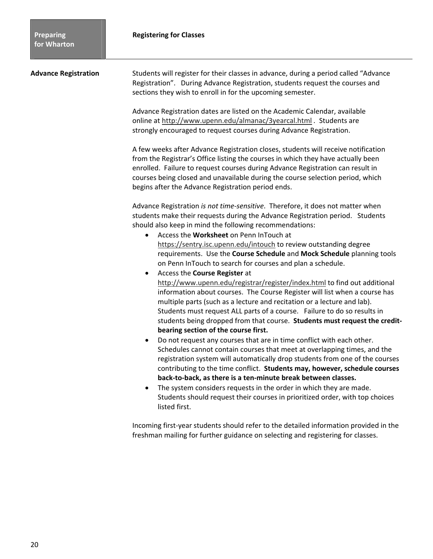| <b>Advance Registration</b> | Students will register for their classes in advance, during a period called "Advance<br>Registration". During Advance Registration, students request the courses and<br>sections they wish to enroll in for the upcoming semester.                                                                                                                                                                                                                                                                                                                                                                                                                                                                                                                                                                                                                                                                                                                                                                                                                                                                                                                                                                                                                                                                                                                                                                                                                                                                                                                            |
|-----------------------------|---------------------------------------------------------------------------------------------------------------------------------------------------------------------------------------------------------------------------------------------------------------------------------------------------------------------------------------------------------------------------------------------------------------------------------------------------------------------------------------------------------------------------------------------------------------------------------------------------------------------------------------------------------------------------------------------------------------------------------------------------------------------------------------------------------------------------------------------------------------------------------------------------------------------------------------------------------------------------------------------------------------------------------------------------------------------------------------------------------------------------------------------------------------------------------------------------------------------------------------------------------------------------------------------------------------------------------------------------------------------------------------------------------------------------------------------------------------------------------------------------------------------------------------------------------------|
|                             | Advance Registration dates are listed on the Academic Calendar, available<br>online at http://www.upenn.edu/almanac/3yearcal.html . Students are<br>strongly encouraged to request courses during Advance Registration.                                                                                                                                                                                                                                                                                                                                                                                                                                                                                                                                                                                                                                                                                                                                                                                                                                                                                                                                                                                                                                                                                                                                                                                                                                                                                                                                       |
|                             | A few weeks after Advance Registration closes, students will receive notification<br>from the Registrar's Office listing the courses in which they have actually been<br>enrolled. Failure to request courses during Advance Registration can result in<br>courses being closed and unavailable during the course selection period, which<br>begins after the Advance Registration period ends.                                                                                                                                                                                                                                                                                                                                                                                                                                                                                                                                                                                                                                                                                                                                                                                                                                                                                                                                                                                                                                                                                                                                                               |
|                             | Advance Registration is not time-sensitive. Therefore, it does not matter when<br>students make their requests during the Advance Registration period. Students<br>should also keep in mind the following recommendations:<br>Access the Worksheet on Penn InTouch at<br>$\bullet$<br>https://sentry.isc.upenn.edu/intouch to review outstanding degree<br>requirements. Use the Course Schedule and Mock Schedule planning tools<br>on Penn InTouch to search for courses and plan a schedule.<br>Access the Course Register at<br>$\bullet$<br>http://www.upenn.edu/registrar/register/index.html to find out additional<br>information about courses. The Course Register will list when a course has<br>multiple parts (such as a lecture and recitation or a lecture and lab).<br>Students must request ALL parts of a course. Failure to do so results in<br>students being dropped from that course. Students must request the credit-<br>bearing section of the course first.<br>Do not request any courses that are in time conflict with each other.<br>$\bullet$<br>Schedules cannot contain courses that meet at overlapping times, and the<br>registration system will automatically drop students from one of the courses<br>contributing to the time conflict. Students may, however, schedule courses<br>back-to-back, as there is a ten-minute break between classes.<br>The system considers requests in the order in which they are made.<br>Students should request their courses in prioritized order, with top choices<br>listed first. |
|                             | Incoming first-year students should refer to the detailed information provided in the<br>freshman mailing for further guidance on selecting and registering for classes.                                                                                                                                                                                                                                                                                                                                                                                                                                                                                                                                                                                                                                                                                                                                                                                                                                                                                                                                                                                                                                                                                                                                                                                                                                                                                                                                                                                      |
|                             |                                                                                                                                                                                                                                                                                                                                                                                                                                                                                                                                                                                                                                                                                                                                                                                                                                                                                                                                                                                                                                                                                                                                                                                                                                                                                                                                                                                                                                                                                                                                                               |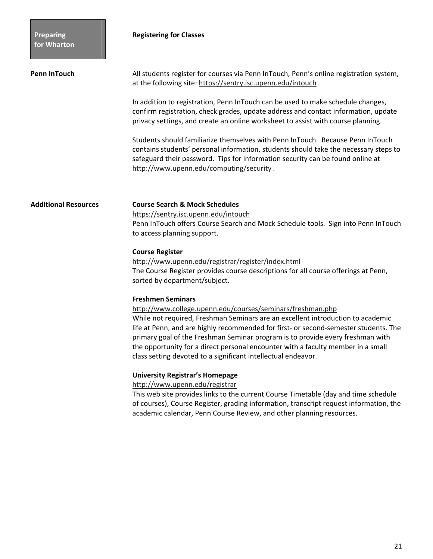| <b>Penn InTouch</b>         | All students register for courses via Penn InTouch, Penn's online registration system,<br>at the following site: https://sentry.isc.upenn.edu/intouch.<br>In addition to registration, Penn InTouch can be used to make schedule changes,<br>confirm registration, check grades, update address and contact information, update<br>privacy settings, and create an online worksheet to assist with course planning.<br>Students should familiarize themselves with Penn InTouch. Because Penn InTouch<br>contains students' personal information, students should take the necessary steps to<br>safeguard their password. Tips for information security can be found online at<br>http://www.upenn.edu/computing/security. |
|-----------------------------|-----------------------------------------------------------------------------------------------------------------------------------------------------------------------------------------------------------------------------------------------------------------------------------------------------------------------------------------------------------------------------------------------------------------------------------------------------------------------------------------------------------------------------------------------------------------------------------------------------------------------------------------------------------------------------------------------------------------------------|
| <b>Additional Resources</b> | <b>Course Search &amp; Mock Schedules</b><br>https://sentry.isc.upenn.edu/intouch<br>Penn InTouch offers Course Search and Mock Schedule tools. Sign into Penn InTouch<br>to access planning support.<br><b>Course Register</b><br>http://www.upenn.edu/registrar/register/index.html<br>The Course Register provides course descriptions for all course offerings at Penn,<br>sorted by department/subject.                                                                                                                                                                                                                                                                                                                |
|                             | <b>Freshmen Seminars</b><br>http://www.college.upenn.edu/courses/seminars/freshman.php<br>While not required, Freshman Seminars are an excellent introduction to academic<br>life at Penn, and are highly recommended for first- or second-semester students. The<br>primary goal of the Freshman Seminar program is to provide every freshman with<br>the opportunity for a direct personal encounter with a faculty member in a small<br>class setting devoted to a significant intellectual endeavor.<br><b>University Registrar's Homepage</b><br>http://www.upenn.edu/registrar<br>This web site provides links to the current Course Timetable (day and time schedule                                                 |
|                             | of courses), Course Register, grading information, transcript request information, the<br>academic calendar, Penn Course Review, and other planning resources.                                                                                                                                                                                                                                                                                                                                                                                                                                                                                                                                                              |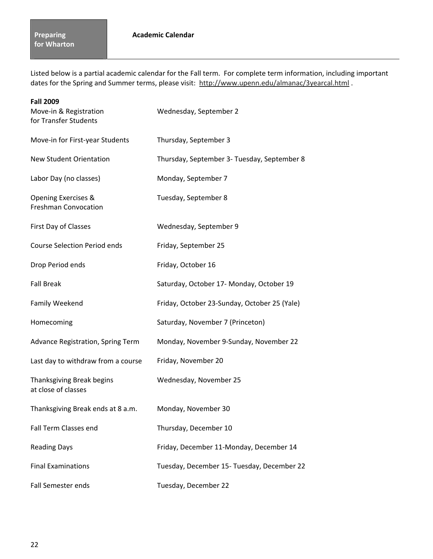Listed below is a partial academic calendar for the Fall term. For complete term information, including important dates for the Spring and Summer terms, please visit: http://www.upenn.edu/almanac/3yearcal.html.

| <b>Fall 2009</b><br>Move-in & Registration<br>for Transfer Students | Wednesday, September 2                       |
|---------------------------------------------------------------------|----------------------------------------------|
| Move-in for First-year Students                                     | Thursday, September 3                        |
| <b>New Student Orientation</b>                                      | Thursday, September 3- Tuesday, September 8  |
| Labor Day (no classes)                                              | Monday, September 7                          |
| Opening Exercises &<br><b>Freshman Convocation</b>                  | Tuesday, September 8                         |
| First Day of Classes                                                | Wednesday, September 9                       |
| <b>Course Selection Period ends</b>                                 | Friday, September 25                         |
| Drop Period ends                                                    | Friday, October 16                           |
| <b>Fall Break</b>                                                   | Saturday, October 17- Monday, October 19     |
| Family Weekend                                                      | Friday, October 23-Sunday, October 25 (Yale) |
| Homecoming                                                          | Saturday, November 7 (Princeton)             |
| Advance Registration, Spring Term                                   | Monday, November 9-Sunday, November 22       |
| Last day to withdraw from a course                                  | Friday, November 20                          |
| Thanksgiving Break begins<br>at close of classes                    | Wednesday, November 25                       |
| Thanksgiving Break ends at 8 a.m.                                   | Monday, November 30                          |
| <b>Fall Term Classes end</b>                                        | Thursday, December 10                        |
| <b>Reading Days</b>                                                 | Friday, December 11-Monday, December 14      |
| <b>Final Examinations</b>                                           | Tuesday, December 15- Tuesday, December 22   |
| <b>Fall Semester ends</b>                                           | Tuesday, December 22                         |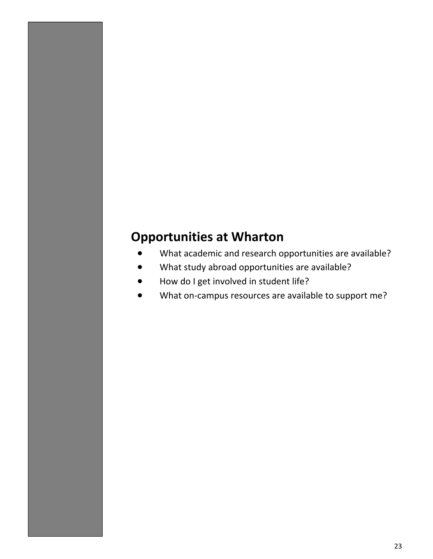# **Opportunities at Wharton**

- What academic and research opportunities are available?
- What study abroad opportunities are available?
- How do I get involved in student life?
- What on-campus resources are available to support me?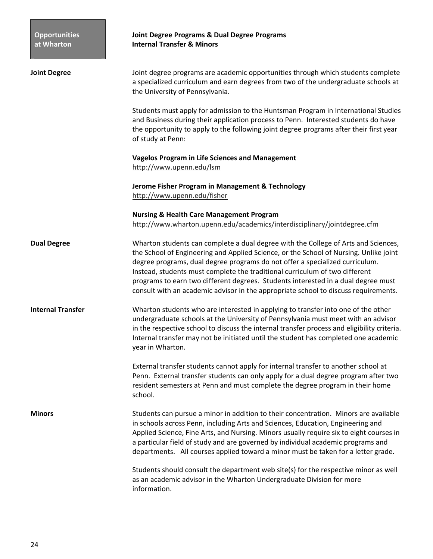### **Joint Degree Programs & Dual Degree Programs Internal Transfer & Minors**

| <b>Joint Degree</b>      | Joint degree programs are academic opportunities through which students complete<br>a specialized curriculum and earn degrees from two of the undergraduate schools at<br>the University of Pennsylvania.                                                                                                                                                                                                                                                                                                              |
|--------------------------|------------------------------------------------------------------------------------------------------------------------------------------------------------------------------------------------------------------------------------------------------------------------------------------------------------------------------------------------------------------------------------------------------------------------------------------------------------------------------------------------------------------------|
|                          | Students must apply for admission to the Huntsman Program in International Studies<br>and Business during their application process to Penn. Interested students do have<br>the opportunity to apply to the following joint degree programs after their first year<br>of study at Penn:                                                                                                                                                                                                                                |
|                          | <b>Vagelos Program in Life Sciences and Management</b><br>http://www.upenn.edu/lsm                                                                                                                                                                                                                                                                                                                                                                                                                                     |
|                          | Jerome Fisher Program in Management & Technology<br>http://www.upenn.edu/fisher                                                                                                                                                                                                                                                                                                                                                                                                                                        |
|                          | <b>Nursing &amp; Health Care Management Program</b><br>http://www.wharton.upenn.edu/academics/interdisciplinary/jointdegree.cfm                                                                                                                                                                                                                                                                                                                                                                                        |
| <b>Dual Degree</b>       | Wharton students can complete a dual degree with the College of Arts and Sciences,<br>the School of Engineering and Applied Science, or the School of Nursing. Unlike joint<br>degree programs, dual degree programs do not offer a specialized curriculum.<br>Instead, students must complete the traditional curriculum of two different<br>programs to earn two different degrees. Students interested in a dual degree must<br>consult with an academic advisor in the appropriate school to discuss requirements. |
| <b>Internal Transfer</b> | Wharton students who are interested in applying to transfer into one of the other<br>undergraduate schools at the University of Pennsylvania must meet with an advisor<br>in the respective school to discuss the internal transfer process and eligibility criteria.<br>Internal transfer may not be initiated until the student has completed one academic<br>year in Wharton.                                                                                                                                       |
|                          | External transfer students cannot apply for internal transfer to another school at<br>Penn. External transfer students can only apply for a dual degree program after two<br>resident semesters at Penn and must complete the degree program in their home<br>school.                                                                                                                                                                                                                                                  |
| <b>Minors</b>            | Students can pursue a minor in addition to their concentration. Minors are available<br>in schools across Penn, including Arts and Sciences, Education, Engineering and<br>Applied Science, Fine Arts, and Nursing. Minors usually require six to eight courses in<br>a particular field of study and are governed by individual academic programs and<br>departments. All courses applied toward a minor must be taken for a letter grade.                                                                            |
|                          | Students should consult the department web site(s) for the respective minor as well<br>as an academic advisor in the Wharton Undergraduate Division for more<br>information.                                                                                                                                                                                                                                                                                                                                           |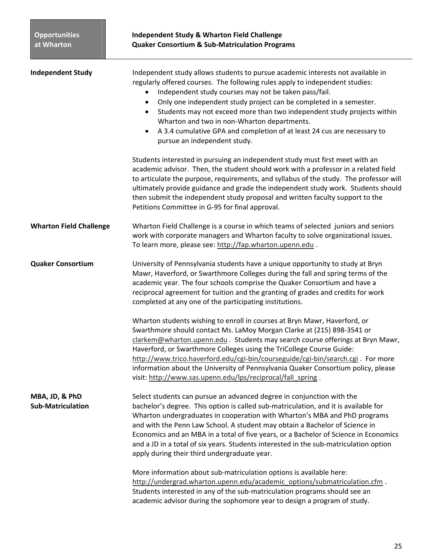| <b>Independent Study</b>                   | Independent study allows students to pursue academic interests not available in<br>regularly offered courses. The following rules apply to independent studies:<br>Independent study courses may not be taken pass/fail.<br>Only one independent study project can be completed in a semester.<br>$\bullet$<br>Students may not exceed more than two independent study projects within<br>$\bullet$<br>Wharton and two in non-Wharton departments.<br>A 3.4 cumulative GPA and completion of at least 24 cus are necessary to<br>$\bullet$<br>pursue an independent study.                                                                                                                                                                                                                                                                                                                                                                            |
|--------------------------------------------|-------------------------------------------------------------------------------------------------------------------------------------------------------------------------------------------------------------------------------------------------------------------------------------------------------------------------------------------------------------------------------------------------------------------------------------------------------------------------------------------------------------------------------------------------------------------------------------------------------------------------------------------------------------------------------------------------------------------------------------------------------------------------------------------------------------------------------------------------------------------------------------------------------------------------------------------------------|
|                                            | Students interested in pursuing an independent study must first meet with an<br>academic advisor. Then, the student should work with a professor in a related field<br>to articulate the purpose, requirements, and syllabus of the study. The professor will<br>ultimately provide guidance and grade the independent study work. Students should<br>then submit the independent study proposal and written faculty support to the<br>Petitions Committee in G-95 for final approval.                                                                                                                                                                                                                                                                                                                                                                                                                                                                |
| <b>Wharton Field Challenge</b>             | Wharton Field Challenge is a course in which teams of selected juniors and seniors<br>work with corporate managers and Wharton faculty to solve organizational issues.<br>To learn more, please see: http://fap.wharton.upenn.edu.                                                                                                                                                                                                                                                                                                                                                                                                                                                                                                                                                                                                                                                                                                                    |
| <b>Quaker Consortium</b>                   | University of Pennsylvania students have a unique opportunity to study at Bryn<br>Mawr, Haverford, or Swarthmore Colleges during the fall and spring terms of the<br>academic year. The four schools comprise the Quaker Consortium and have a<br>reciprocal agreement for tuition and the granting of grades and credits for work<br>completed at any one of the participating institutions.<br>Wharton students wishing to enroll in courses at Bryn Mawr, Haverford, or<br>Swarthmore should contact Ms. LaMoy Morgan Clarke at (215) 898-3541 or<br>clarkem@wharton.upenn.edu . Students may search course offerings at Bryn Mawr,<br>Haverford, or Swarthmore Colleges using the TriCollege Course Guide:<br>http://www.trico.haverford.edu/cgi-bin/courseguide/cgi-bin/search.cgi. For more<br>information about the University of Pennsylvania Quaker Consortium policy, please<br>visit: http://www.sas.upenn.edu/lps/reciprocal/fall spring. |
| MBA, JD, & PhD<br><b>Sub-Matriculation</b> | Select students can pursue an advanced degree in conjunction with the<br>bachelor's degree. This option is called sub-matriculation, and it is available for<br>Wharton undergraduates in cooperation with Wharton's MBA and PhD programs<br>and with the Penn Law School. A student may obtain a Bachelor of Science in<br>Economics and an MBA in a total of five years, or a Bachelor of Science in Economics<br>and a JD in a total of six years. Students interested in the sub-matriculation option<br>apply during their third undergraduate year.<br>More information about sub-matriculation options is available here:<br>http://undergrad.wharton.upenn.edu/academic_options/submatriculation.cfm.                                                                                                                                                                                                                                         |
|                                            | Students interested in any of the sub-matriculation programs should see an<br>academic advisor during the sophomore year to design a program of study.                                                                                                                                                                                                                                                                                                                                                                                                                                                                                                                                                                                                                                                                                                                                                                                                |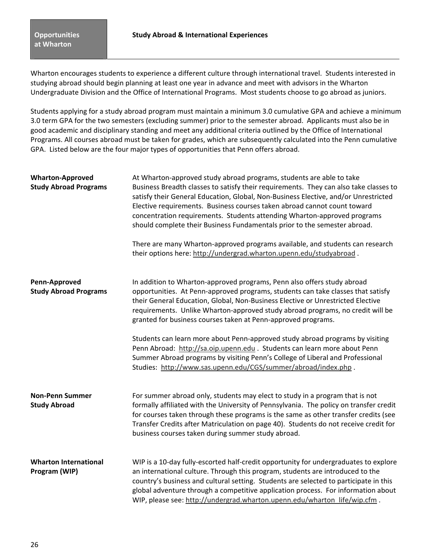Wharton encourages students to experience a different culture through international travel. Students interested in studying abroad should begin planning at least one year in advance and meet with advisors in the Wharton Undergraduate Division and the Office of International Programs. Most students choose to go abroad as juniors.

Students applying for a study abroad program must maintain a minimum 3.0 cumulative GPA and achieve a minimum 3.0 term GPA for the two semesters (excluding summer) prior to the semester abroad.Applicants must also be in good academic and disciplinary standing and meet any additional criteria outlined by the Office of International Programs. All courses abroad must be taken for grades, which are subsequently calculated into the Penn cumulative GPA. Listed below are the four major types of opportunities that Penn offers abroad.

| <b>Wharton-Approved</b><br><b>Study Abroad Programs</b> | At Wharton-approved study abroad programs, students are able to take<br>Business Breadth classes to satisfy their requirements. They can also take classes to<br>satisfy their General Education, Global, Non-Business Elective, and/or Unrestricted<br>Elective requirements. Business courses taken abroad cannot count toward<br>concentration requirements. Students attending Wharton-approved programs<br>should complete their Business Fundamentals prior to the semester abroad. |
|---------------------------------------------------------|-------------------------------------------------------------------------------------------------------------------------------------------------------------------------------------------------------------------------------------------------------------------------------------------------------------------------------------------------------------------------------------------------------------------------------------------------------------------------------------------|
|                                                         | There are many Wharton-approved programs available, and students can research<br>their options here: http://undergrad.wharton.upenn.edu/studyabroad.                                                                                                                                                                                                                                                                                                                                      |
| Penn-Approved<br><b>Study Abroad Programs</b>           | In addition to Wharton-approved programs, Penn also offers study abroad<br>opportunities. At Penn-approved programs, students can take classes that satisfy<br>their General Education, Global, Non-Business Elective or Unrestricted Elective<br>requirements. Unlike Wharton-approved study abroad programs, no credit will be<br>granted for business courses taken at Penn-approved programs.                                                                                         |
|                                                         | Students can learn more about Penn-approved study abroad programs by visiting<br>Penn Abroad: http://sa.oip.upenn.edu . Students can learn more about Penn<br>Summer Abroad programs by visiting Penn's College of Liberal and Professional<br>Studies: http://www.sas.upenn.edu/CGS/summer/abroad/index.php.                                                                                                                                                                             |
| <b>Non-Penn Summer</b><br><b>Study Abroad</b>           | For summer abroad only, students may elect to study in a program that is not<br>formally affiliated with the University of Pennsylvania. The policy on transfer credit<br>for courses taken through these programs is the same as other transfer credits (see<br>Transfer Credits after Matriculation on page 40). Students do not receive credit for<br>business courses taken during summer study abroad.                                                                               |
| <b>Wharton International</b><br>Program (WIP)           | WIP is a 10-day fully-escorted half-credit opportunity for undergraduates to explore<br>an international culture. Through this program, students are introduced to the<br>country's business and cultural setting. Students are selected to participate in this<br>global adventure through a competitive application process. For information about<br>WIP, please see: http://undergrad.wharton.upenn.edu/wharton_life/wip.cfm.                                                         |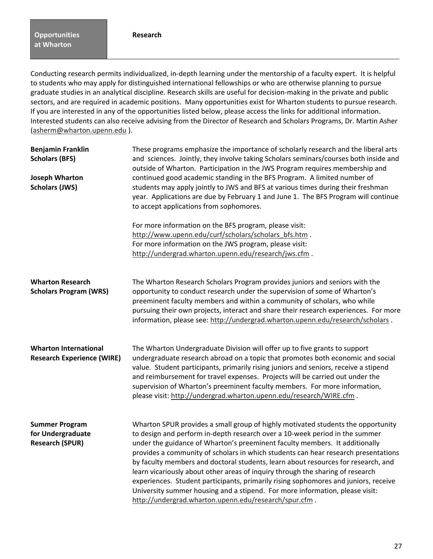Conducting research permits individualized, in-depth learning under the mentorship of a faculty expert. It is helpful to students who may apply for distinguished international fellowships or who are otherwise planning to pursue graduate studies in an analytical discipline. Research skills are useful for decision-making in the private and public sectors, and are required in academic positions. Many opportunities exist for Wharton students to pursue research. If you are interested in any of the opportunities listed below, please access the links for additional information. Interested students can also receive advising from the Director of Research and Scholars Programs, Dr. Martin Asher (asherm@wharton.upenn.edu ).

| <b>Benjamin Franklin</b><br><b>Scholars (BFS)</b><br><b>Joseph Wharton</b><br><b>Scholars (JWS)</b> | These programs emphasize the importance of scholarly research and the liberal arts<br>and sciences. Jointly, they involve taking Scholars seminars/courses both inside and<br>outside of Wharton. Participation in the JWS Program requires membership and<br>continued good academic standing in the BFS Program. A limited number of<br>students may apply jointly to JWS and BFS at various times during their freshman<br>year. Applications are due by February 1 and June 1. The BFS Program will continue<br>to accept applications from sophomores.                                                                                                                                                                                 |
|-----------------------------------------------------------------------------------------------------|---------------------------------------------------------------------------------------------------------------------------------------------------------------------------------------------------------------------------------------------------------------------------------------------------------------------------------------------------------------------------------------------------------------------------------------------------------------------------------------------------------------------------------------------------------------------------------------------------------------------------------------------------------------------------------------------------------------------------------------------|
|                                                                                                     | For more information on the BFS program, please visit:<br>http://www.upenn.edu/curf/scholars/scholars_bfs.htm .<br>For more information on the JWS program, please visit:<br>http://undergrad.wharton.upenn.edu/research/jws.cfm.                                                                                                                                                                                                                                                                                                                                                                                                                                                                                                           |
| <b>Wharton Research</b><br><b>Scholars Program (WRS)</b>                                            | The Wharton Research Scholars Program provides juniors and seniors with the<br>opportunity to conduct research under the supervision of some of Wharton's<br>preeminent faculty members and within a community of scholars, who while<br>pursuing their own projects, interact and share their research experiences. For more<br>information, please see: http://undergrad.wharton.upenn.edu/research/scholars.                                                                                                                                                                                                                                                                                                                             |
| <b>Wharton International</b><br><b>Research Experience (WIRE)</b>                                   | The Wharton Undergraduate Division will offer up to five grants to support<br>undergraduate research abroad on a topic that promotes both economic and social<br>value. Student participants, primarily rising juniors and seniors, receive a stipend<br>and reimbursement for travel expenses. Projects will be carried out under the<br>supervision of Wharton's preeminent faculty members. For more information,<br>please visit: http://undergrad.wharton.upenn.edu/research/WIRE.cfm.                                                                                                                                                                                                                                                 |
| <b>Summer Program</b><br>for Undergraduate<br><b>Research (SPUR)</b>                                | Wharton SPUR provides a small group of highly motivated students the opportunity<br>to design and perform in-depth research over a 10-week period in the summer<br>under the guidance of Wharton's preeminent faculty members. It additionally<br>provides a community of scholars in which students can hear research presentations<br>by faculty members and doctoral students, learn about resources for research, and<br>learn vicariously about other areas of inquiry through the sharing of research<br>experiences. Student participants, primarily rising sophomores and juniors, receive<br>University summer housing and a stipend. For more information, please visit:<br>http://undergrad.wharton.upenn.edu/research/spur.cfm. |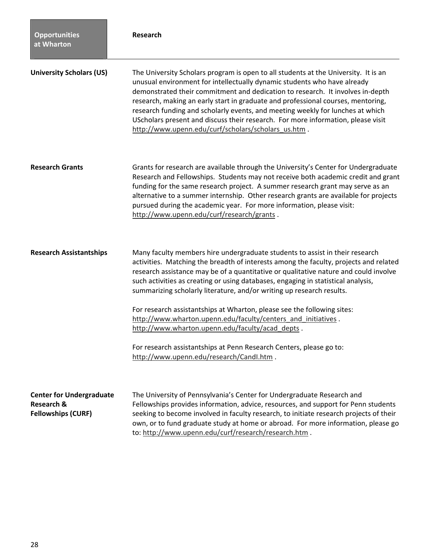| <b>Opportunities</b><br>at Wharton                                                    | <b>Research</b>                                                                                                                                                                                                                                                                                                                                                                                                                                                                                                                                                                                                                                                                                                                                |
|---------------------------------------------------------------------------------------|------------------------------------------------------------------------------------------------------------------------------------------------------------------------------------------------------------------------------------------------------------------------------------------------------------------------------------------------------------------------------------------------------------------------------------------------------------------------------------------------------------------------------------------------------------------------------------------------------------------------------------------------------------------------------------------------------------------------------------------------|
| <b>University Scholars (US)</b>                                                       | The University Scholars program is open to all students at the University. It is an<br>unusual environment for intellectually dynamic students who have already<br>demonstrated their commitment and dedication to research. It involves in-depth<br>research, making an early start in graduate and professional courses, mentoring,<br>research funding and scholarly events, and meeting weekly for lunches at which<br>UScholars present and discuss their research. For more information, please visit<br>http://www.upenn.edu/curf/scholars/scholars_us.htm.                                                                                                                                                                             |
| <b>Research Grants</b>                                                                | Grants for research are available through the University's Center for Undergraduate<br>Research and Fellowships. Students may not receive both academic credit and grant<br>funding for the same research project. A summer research grant may serve as an<br>alternative to a summer internship. Other research grants are available for projects<br>pursued during the academic year. For more information, please visit:<br>http://www.upenn.edu/curf/research/grants.                                                                                                                                                                                                                                                                      |
| <b>Research Assistantships</b>                                                        | Many faculty members hire undergraduate students to assist in their research<br>activities. Matching the breadth of interests among the faculty, projects and related<br>research assistance may be of a quantitative or qualitative nature and could involve<br>such activities as creating or using databases, engaging in statistical analysis,<br>summarizing scholarly literature, and/or writing up research results.<br>For research assistantships at Wharton, please see the following sites:<br>http://www.wharton.upenn.edu/faculty/centers_and_initiatives.<br>http://www.wharton.upenn.edu/faculty/acad_depts.<br>For research assistantships at Penn Research Centers, please go to:<br>http://www.upenn.edu/research/CandI.htm. |
| <b>Center for Undergraduate</b><br><b>Research &amp;</b><br><b>Fellowships (CURF)</b> | The University of Pennsylvania's Center for Undergraduate Research and<br>Fellowships provides information, advice, resources, and support for Penn students<br>seeking to become involved in faculty research, to initiate research projects of their<br>own, or to fund graduate study at home or abroad. For more information, please go<br>to: http://www.upenn.edu/curf/research/research.htm.                                                                                                                                                                                                                                                                                                                                            |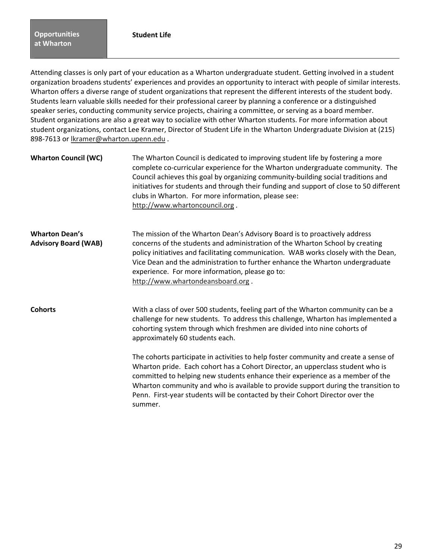summer.

Attending classes is only part of your education as a Wharton undergraduate student. Getting involved in a student organization broadens students' experiences and provides an opportunity to interact with people of similar interests. Wharton offers a diverse range of student organizations that represent the different interests of the student body. Students learn valuable skills needed for their professional career by planning a conference or a distinguished speaker series, conducting community service projects, chairing a committee, or serving as a board member. Student organizations are also a great way to socialize with other Wharton students. For more information about student organizations, contact Lee Kramer, Director of Student Life in the Wharton Undergraduate Division at (215) 898-7613 or lkramer@wharton.upenn.edu .

| <b>Wharton Council (WC)</b>                          | The Wharton Council is dedicated to improving student life by fostering a more<br>complete co-curricular experience for the Wharton undergraduate community. The<br>Council achieves this goal by organizing community-building social traditions and<br>initiatives for students and through their funding and support of close to 50 different<br>clubs in Wharton. For more information, please see:<br>http://www.whartoncouncil.org. |
|------------------------------------------------------|-------------------------------------------------------------------------------------------------------------------------------------------------------------------------------------------------------------------------------------------------------------------------------------------------------------------------------------------------------------------------------------------------------------------------------------------|
| <b>Wharton Dean's</b><br><b>Advisory Board (WAB)</b> | The mission of the Wharton Dean's Advisory Board is to proactively address<br>concerns of the students and administration of the Wharton School by creating<br>policy initiatives and facilitating communication. WAB works closely with the Dean,<br>Vice Dean and the administration to further enhance the Wharton undergraduate<br>experience. For more information, please go to:<br>http://www.whartondeansboard.org.               |
| <b>Cohorts</b>                                       | With a class of over 500 students, feeling part of the Wharton community can be a<br>challenge for new students. To address this challenge, Wharton has implemented a<br>cohorting system through which freshmen are divided into nine cohorts of<br>approximately 60 students each.                                                                                                                                                      |
|                                                      | The cohorts participate in activities to help foster community and create a sense of<br>Wharton pride. Each cohort has a Cohort Director, an upperclass student who is<br>committed to helping new students enhance their experience as a member of the<br>Wharton community and who is available to provide support during the transition to<br>Penn. First-year students will be contacted by their Cohort Director over the            |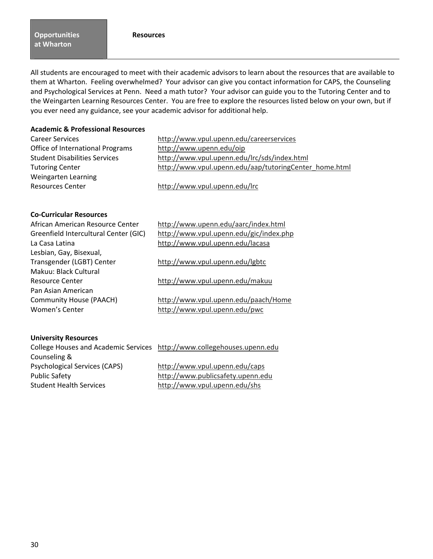### **Resources**

**Opportunities at Wharton**

All students are encouraged to meet with their academic advisors to learn about the resources that are available to them at Wharton. Feeling overwhelmed? Your advisor can give you contact information for CAPS, the Counseling and Psychological Services at Penn. Need a math tutor? Your advisor can guide you to the Tutoring Center and to the Weingarten Learning Resources Center. You are free to explore the resources listed below on your own, but if you ever need any guidance, see your academic advisor for additional help.

### **Academic & Professional Resources**

| <b>Career Services</b>               | http://www.vpul.upenn.edu/careerservices               |
|--------------------------------------|--------------------------------------------------------|
| Office of International Programs     | http://www.upenn.edu/oip                               |
| <b>Student Disabilities Services</b> | http://www.vpul.upenn.edu/lrc/sds/index.html           |
| <b>Tutoring Center</b>               | http://www.vpul.upenn.edu/aap/tutoringCenter home.html |
| Weingarten Learning                  |                                                        |
| <b>Resources Center</b>              | http://www.vpul.upenn.edu/lrc                          |
|                                      |                                                        |

### **Co-Curricular Resources**

| African American Resource Center      | http://www.upenn.edu/aarc/index.html    |
|---------------------------------------|-----------------------------------------|
| Greenfield Intercultural Center (GIC) | http://www.vpul.upenn.edu/gic/index.php |
| La Casa Latina                        | http://www.vpul.upenn.edu/lacasa        |
| Lesbian, Gay, Bisexual,               |                                         |
| Transgender (LGBT) Center             | http://www.vpul.upenn.edu/lgbtc         |
| Makuu: Black Cultural                 |                                         |
| Resource Center                       | http://www.vpul.upenn.edu/makuu         |
| Pan Asian American                    |                                         |
| <b>Community House (PAACH)</b>        | http://www.vpul.upenn.edu/paach/Home    |
| Women's Center                        | http://www.vpul.upenn.edu/pwc           |

### **University Resources**

| College Houses and Academic Services http://www.collegehouses.upenn.edu |
|-------------------------------------------------------------------------|
|                                                                         |
| http://www.vpul.upenn.edu/caps                                          |
| http://www.publicsafety.upenn.edu                                       |
| http://www.vpul.upenn.edu/shs                                           |
|                                                                         |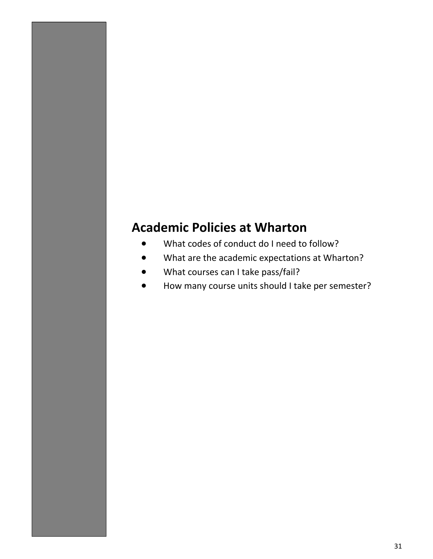# **Academic Policies at Wharton**

- What codes of conduct do I need to follow?
- What are the academic expectations at Wharton?
- What courses can I take pass/fail?
- How many course units should I take per semester?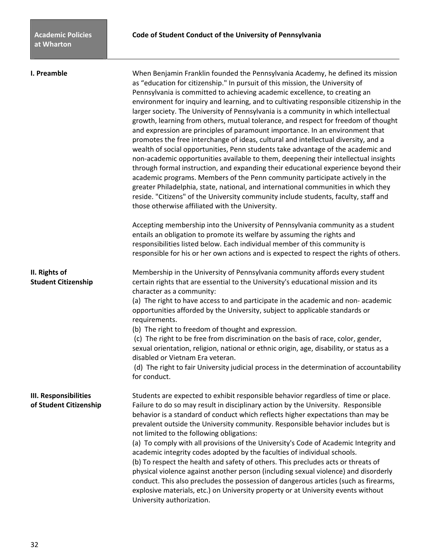**I. Preamble When Benjamin Franklin founded the Pennsylvania Academy, he defined its mission** as "education for citizenship." In pursuit of this mission, the University of Pennsylvania is committed to achieving academic excellence, to creating an environment for inquiry and learning, and to cultivating responsible citizenship in the larger society. The University of Pennsylvania is a community in which intellectual growth, learning from others, mutual tolerance, and respect for freedom of thought and expression are principles of paramount importance. In an environment that promotes the free interchange of ideas, cultural and intellectual diversity, and a wealth of social opportunities, Penn students take advantage of the academic and non-academic opportunities available to them, deepening their intellectual insights through formal instruction, and expanding their educational experience beyond their academic programs. Members of the Penn community participate actively in the greater Philadelphia, state, national, and international communities in which they reside. "Citizens" of the University community include students, faculty, staff and those otherwise affiliated with the University.

> Accepting membership into the University of Pennsylvania community as a student entails an obligation to promote its welfare by assuming the rights and responsibilities listed below. Each individual member of this community is responsible for his or her own actions and is expected to respect the rights of others.

**II. Rights of** Membership in the University of Pennsylvania community affords every student **Student Citizenship** certain rights that are essential to the University's educational mission and its character as a community:

> (a) The right to have access to and participate in the academic and non- academic opportunities afforded by the University, subject to applicable standards or requirements.

(b) The right to freedom of thought and expression.

 (c) The right to be free from discrimination on the basis of race, color, gender, sexual orientation, religion, national or ethnic origin, age, disability, or status as a disabled or Vietnam Era veteran.

 (d) The right to fair University judicial process in the determination of accountability for conduct.

**III. Responsibilities** Students are expected to exhibit responsible behavior regardless of time or place. **of Student Citizenship** Failure to do so may result in disciplinary action by the University. Responsible behavior is a standard of conduct which reflects higher expectations than may be prevalent outside the University community. Responsible behavior includes but is not limited to the following obligations:

> (a) To comply with all provisions of the University's Code of Academic Integrity and academic integrity codes adopted by the faculties of individual schools. (b) To respect the health and safety of others. This precludes acts or threats of physical violence against another person (including sexual violence) and disorderly conduct. This also precludes the possession of dangerous articles (such as firearms, explosive materials, etc.) on University property or at University events without University authorization.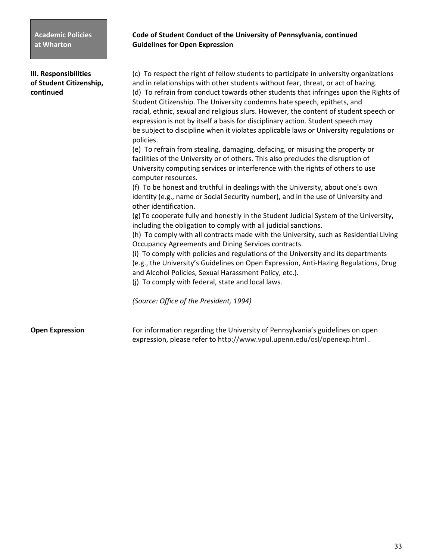| <b>III. Responsibilities</b><br>of Student Citizenship,<br>continued | (c) To respect the right of fellow students to participate in university organizations<br>and in relationships with other students without fear, threat, or act of hazing.<br>(d) To refrain from conduct towards other students that infringes upon the Rights of<br>Student Citizenship. The University condemns hate speech, epithets, and<br>racial, ethnic, sexual and religious slurs. However, the content of student speech or<br>expression is not by itself a basis for disciplinary action. Student speech may<br>be subject to discipline when it violates applicable laws or University regulations or<br>policies.<br>(e) To refrain from stealing, damaging, defacing, or misusing the property or<br>facilities of the University or of others. This also precludes the disruption of<br>University computing services or interference with the rights of others to use<br>computer resources.<br>(f) To be honest and truthful in dealings with the University, about one's own<br>identity (e.g., name or Social Security number), and in the use of University and<br>other identification.<br>(g) To cooperate fully and honestly in the Student Judicial System of the University,<br>including the obligation to comply with all judicial sanctions.<br>(h) To comply with all contracts made with the University, such as Residential Living<br>Occupancy Agreements and Dining Services contracts.<br>(i) To comply with policies and regulations of the University and its departments<br>(e.g., the University's Guidelines on Open Expression, Anti-Hazing Regulations, Drug<br>and Alcohol Policies, Sexual Harassment Policy, etc.).<br>(j) To comply with federal, state and local laws.<br>(Source: Office of the President, 1994) |
|----------------------------------------------------------------------|-------------------------------------------------------------------------------------------------------------------------------------------------------------------------------------------------------------------------------------------------------------------------------------------------------------------------------------------------------------------------------------------------------------------------------------------------------------------------------------------------------------------------------------------------------------------------------------------------------------------------------------------------------------------------------------------------------------------------------------------------------------------------------------------------------------------------------------------------------------------------------------------------------------------------------------------------------------------------------------------------------------------------------------------------------------------------------------------------------------------------------------------------------------------------------------------------------------------------------------------------------------------------------------------------------------------------------------------------------------------------------------------------------------------------------------------------------------------------------------------------------------------------------------------------------------------------------------------------------------------------------------------------------------------------------------------------------------------------------------------------------------------|
| <b>Open Expression</b>                                               | For information regarding the University of Pennsylvania's guidelines on open<br>expression, please refer to http://www.vpul.upenn.edu/osl/openexp.html.                                                                                                                                                                                                                                                                                                                                                                                                                                                                                                                                                                                                                                                                                                                                                                                                                                                                                                                                                                                                                                                                                                                                                                                                                                                                                                                                                                                                                                                                                                                                                                                                          |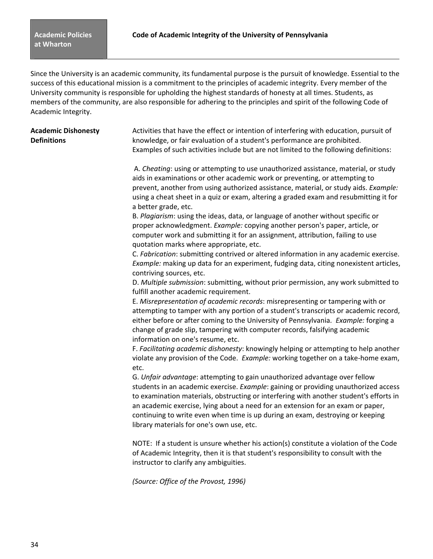Since the University is an academic community, its fundamental purpose is the pursuit of knowledge. Essential to the success of this educational mission is a commitment to the principles of academic integrity. Every member of the University community is responsible for upholding the highest standards of honesty at all times. Students, as members of the community, are also responsible for adhering to the principles and spirit of the following Code of Academic Integrity.

**Academic Dishonesty** Activities that have the effect or intention of interfering with education, pursuit of **Definitions** knowledge, or fair evaluation of a student's performance are prohibited. Examples of such activities include but are not limited to the following definitions:

> A. *Cheating*: using or attempting to use unauthorized assistance, material, or study aids in examinations or other academic work or preventing, or attempting to prevent, another from using authorized assistance, material, or study aids. *Example:* using a cheat sheet in a quiz or exam, altering a graded exam and resubmitting it for a better grade, etc.

B. *Plagiarism*: using the ideas, data, or language of another without specific or proper acknowledgment. *Example:* copying another person's paper, article, or computer work and submitting it for an assignment, attribution, failing to use quotation marks where appropriate, etc.

C. *Fabrication*: submitting contrived or altered information in any academic exercise. *Example:* making up data for an experiment, fudging data, citing nonexistent articles, contriving sources, etc.

D. *Multiple submission*: submitting, without prior permission, any work submitted to fulfill another academic requirement.

E. *Misrepresentation of academic records*: misrepresenting or tampering with or attempting to tamper with any portion of a student's transcripts or academic record, either before or after coming to the University of Pennsylvania. *Example:* forging a change of grade slip, tampering with computer records, falsifying academic information on one's resume, etc.

F. *Facilitating academic dishonesty*: knowingly helping or attempting to help another violate any provision of the Code. *Example:* working together on a take-home exam, etc.

G. *Unfair advantage*: attempting to gain unauthorized advantage over fellow students in an academic exercise. *Example*: gaining or providing unauthorized access to examination materials, obstructing or interfering with another student's efforts in an academic exercise, lying about a need for an extension for an exam or paper, continuing to write even when time is up during an exam, destroying or keeping library materials for one's own use, etc.

NOTE: If a student is unsure whether his action(s) constitute a violation of the Code of Academic Integrity, then it is that student's responsibility to consult with the instructor to clarify any ambiguities.

*(Source: Office of the Provost, 1996)*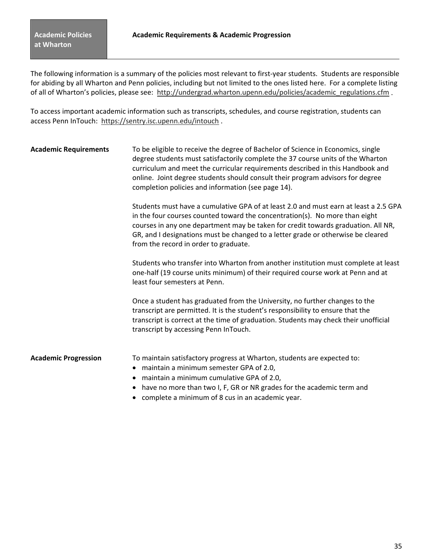The following information is a summary of the policies most relevant to first-year students. Students are responsible for abiding by all Wharton and Penn policies, including but not limited to the ones listed here. For a complete listing of all of Wharton's policies, please see: http://undergrad.wharton.upenn.edu/policies/academic\_regulations.cfm .

To access important academic information such as transcripts, schedules, and course registration, students can access Penn InTouch: https://sentry.isc.upenn.edu/intouch .

**Academic Requirements** To be eligible to receive the degree of Bachelor of Science in Economics, single degree students must satisfactorily complete the 37 course units of the Wharton curriculum and meet the curricular requirements described in this Handbook and online. Joint degree students should consult their program advisors for degree completion policies and information (see page 14).

> Students must have a cumulative GPA of at least 2.0 and must earn at least a 2.5 GPA in the four courses counted toward the concentration(s). No more than eight courses in any one department may be taken for credit towards graduation. All NR, GR, and I designations must be changed to a letter grade or otherwise be cleared from the record in order to graduate.

> Students who transfer into Wharton from another institution must complete at least one-half (19 course units minimum) of their required course work at Penn and at least four semesters at Penn.

Once a student has graduated from the University, no further changes to the transcript are permitted. It is the student's responsibility to ensure that the transcript is correct at the time of graduation. Students may check their unofficial transcript by accessing Penn InTouch.

**Academic Progression** To maintain satisfactory progress at Wharton, students are expected to:

- maintain a minimum semester GPA of 2.0,
- maintain a minimum cumulative GPA of 2.0,
- have no more than two I, F, GR or NR grades for the academic term and
- complete a minimum of 8 cus in an academic year.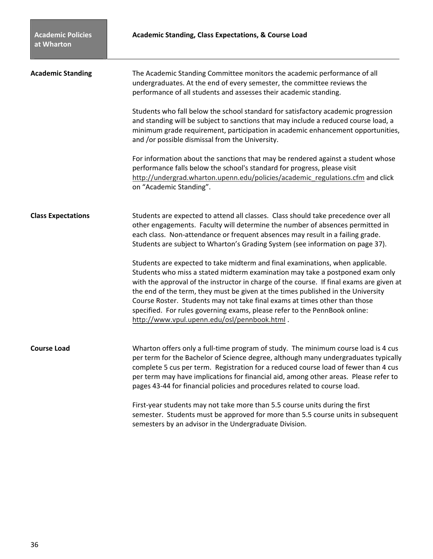| <b>Academic Standing</b>  | The Academic Standing Committee monitors the academic performance of all<br>undergraduates. At the end of every semester, the committee reviews the<br>performance of all students and assesses their academic standing.                                                                                                                                                                                                                                                                                                                                    |
|---------------------------|-------------------------------------------------------------------------------------------------------------------------------------------------------------------------------------------------------------------------------------------------------------------------------------------------------------------------------------------------------------------------------------------------------------------------------------------------------------------------------------------------------------------------------------------------------------|
|                           | Students who fall below the school standard for satisfactory academic progression<br>and standing will be subject to sanctions that may include a reduced course load, a<br>minimum grade requirement, participation in academic enhancement opportunities,<br>and /or possible dismissal from the University.                                                                                                                                                                                                                                              |
|                           | For information about the sanctions that may be rendered against a student whose<br>performance falls below the school's standard for progress, please visit<br>http://undergrad.wharton.upenn.edu/policies/academic regulations.cfm and click<br>on "Academic Standing".                                                                                                                                                                                                                                                                                   |
| <b>Class Expectations</b> | Students are expected to attend all classes. Class should take precedence over all<br>other engagements. Faculty will determine the number of absences permitted in<br>each class. Non-attendance or frequent absences may result in a failing grade.<br>Students are subject to Wharton's Grading System (see information on page 37).                                                                                                                                                                                                                     |
|                           | Students are expected to take midterm and final examinations, when applicable.<br>Students who miss a stated midterm examination may take a postponed exam only<br>with the approval of the instructor in charge of the course. If final exams are given at<br>the end of the term, they must be given at the times published in the University<br>Course Roster. Students may not take final exams at times other than those<br>specified. For rules governing exams, please refer to the PennBook online:<br>http://www.vpul.upenn.edu/osl/pennbook.html. |
| <b>Course Load</b>        | Wharton offers only a full-time program of study. The minimum course load is 4 cus<br>per term for the Bachelor of Science degree, although many undergraduates typically<br>complete 5 cus per term. Registration for a reduced course load of fewer than 4 cus<br>per term may have implications for financial aid, among other areas. Please refer to<br>pages 43-44 for financial policies and procedures related to course load.                                                                                                                       |
|                           | First-year students may not take more than 5.5 course units during the first<br>semester. Students must be approved for more than 5.5 course units in subsequent<br>semesters by an advisor in the Undergraduate Division.                                                                                                                                                                                                                                                                                                                                  |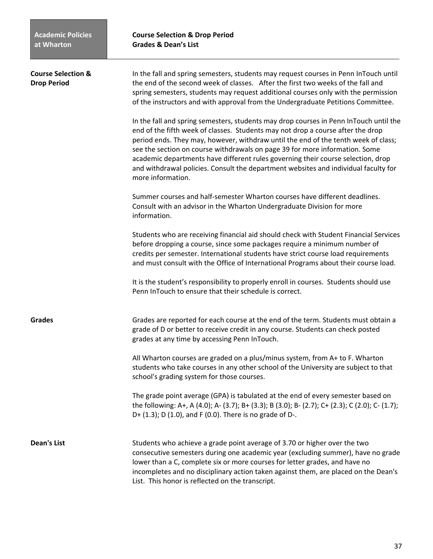| <b>Course Selection &amp;</b><br><b>Drop Period</b> | In the fall and spring semesters, students may request courses in Penn InTouch until<br>the end of the second week of classes. After the first two weeks of the fall and<br>spring semesters, students may request additional courses only with the permission<br>of the instructors and with approval from the Undergraduate Petitions Committee.                                                                                                                                                                                            |
|-----------------------------------------------------|-----------------------------------------------------------------------------------------------------------------------------------------------------------------------------------------------------------------------------------------------------------------------------------------------------------------------------------------------------------------------------------------------------------------------------------------------------------------------------------------------------------------------------------------------|
|                                                     | In the fall and spring semesters, students may drop courses in Penn InTouch until the<br>end of the fifth week of classes. Students may not drop a course after the drop<br>period ends. They may, however, withdraw until the end of the tenth week of class;<br>see the section on course withdrawals on page 39 for more information. Some<br>academic departments have different rules governing their course selection, drop<br>and withdrawal policies. Consult the department websites and individual faculty for<br>more information. |
|                                                     | Summer courses and half-semester Wharton courses have different deadlines.<br>Consult with an advisor in the Wharton Undergraduate Division for more<br>information.                                                                                                                                                                                                                                                                                                                                                                          |
|                                                     | Students who are receiving financial aid should check with Student Financial Services<br>before dropping a course, since some packages require a minimum number of<br>credits per semester. International students have strict course load requirements<br>and must consult with the Office of International Programs about their course load.                                                                                                                                                                                                |
|                                                     | It is the student's responsibility to properly enroll in courses. Students should use<br>Penn InTouch to ensure that their schedule is correct.                                                                                                                                                                                                                                                                                                                                                                                               |
| <b>Grades</b>                                       | Grades are reported for each course at the end of the term. Students must obtain a<br>grade of D or better to receive credit in any course. Students can check posted<br>grades at any time by accessing Penn InTouch.                                                                                                                                                                                                                                                                                                                        |
|                                                     | All Wharton courses are graded on a plus/minus system, from A+ to F. Wharton<br>students who take courses in any other school of the University are subject to that<br>school's grading system for those courses.                                                                                                                                                                                                                                                                                                                             |
|                                                     | The grade point average (GPA) is tabulated at the end of every semester based on<br>the following: A+, A (4.0); A- (3.7); B+ (3.3); B (3.0); B- (2.7); C+ (2.3); C (2.0); C- (1.7);<br>D+ (1.3); D (1.0), and F (0.0). There is no grade of D-.                                                                                                                                                                                                                                                                                               |
| <b>Dean's List</b>                                  | Students who achieve a grade point average of 3.70 or higher over the two<br>consecutive semesters during one academic year (excluding summer), have no grade<br>lower than a C, complete six or more courses for letter grades, and have no<br>incompletes and no disciplinary action taken against them, are placed on the Dean's<br>List. This honor is reflected on the transcript.                                                                                                                                                       |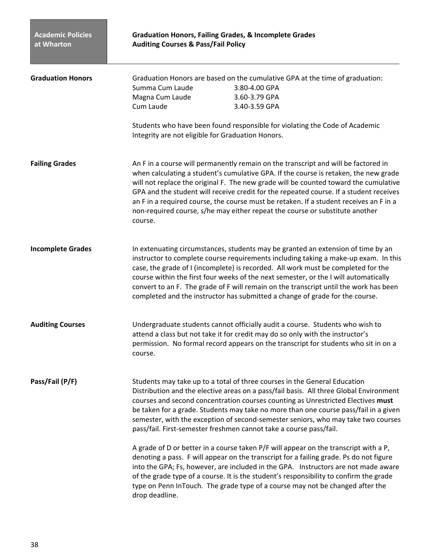| <b>Graduation Honors</b> | Graduation Honors are based on the cumulative GPA at the time of graduation:<br>Summa Cum Laude<br>3.80-4.00 GPA<br>Magna Cum Laude<br>3.60-3.79 GPA<br>Cum Laude<br>3.40-3.59 GPA                                                                                                                                                                                                                                                                                                                                                                |
|--------------------------|---------------------------------------------------------------------------------------------------------------------------------------------------------------------------------------------------------------------------------------------------------------------------------------------------------------------------------------------------------------------------------------------------------------------------------------------------------------------------------------------------------------------------------------------------|
|                          | Students who have been found responsible for violating the Code of Academic<br>Integrity are not eligible for Graduation Honors.                                                                                                                                                                                                                                                                                                                                                                                                                  |
| <b>Failing Grades</b>    | An F in a course will permanently remain on the transcript and will be factored in<br>when calculating a student's cumulative GPA. If the course is retaken, the new grade<br>will not replace the original F. The new grade will be counted toward the cumulative<br>GPA and the student will receive credit for the repeated course. If a student receives<br>an F in a required course, the course must be retaken. If a student receives an F in a<br>non-required course, s/he may either repeat the course or substitute another<br>course. |
| <b>Incomplete Grades</b> | In extenuating circumstances, students may be granted an extension of time by an<br>instructor to complete course requirements including taking a make-up exam. In this<br>case, the grade of I (incomplete) is recorded. All work must be completed for the<br>course within the first four weeks of the next semester, or the I will automatically<br>convert to an F. The grade of F will remain on the transcript until the work has been<br>completed and the instructor has submitted a change of grade for the course.                     |
| <b>Auditing Courses</b>  | Undergraduate students cannot officially audit a course. Students who wish to<br>attend a class but not take it for credit may do so only with the instructor's<br>permission. No formal record appears on the transcript for students who sit in on a<br>course.                                                                                                                                                                                                                                                                                 |
| Pass/Fail (P/F)          | Students may take up to a total of three courses in the General Education<br>Distribution and the elective areas on a pass/fail basis. All three Global Environment<br>courses and second concentration courses counting as Unrestricted Electives must<br>be taken for a grade. Students may take no more than one course pass/fail in a given<br>semester, with the exception of second-semester seniors, who may take two courses<br>pass/fail. First-semester freshmen cannot take a course pass/fail.                                        |
|                          | A grade of D or better in a course taken P/F will appear on the transcript with a P,<br>denoting a pass. F will appear on the transcript for a failing grade. Ps do not figure<br>into the GPA; Fs, however, are included in the GPA. Instructors are not made aware<br>of the grade type of a course. It is the student's responsibility to confirm the grade<br>type on Penn InTouch. The grade type of a course may not be changed after the<br>drop deadline.                                                                                 |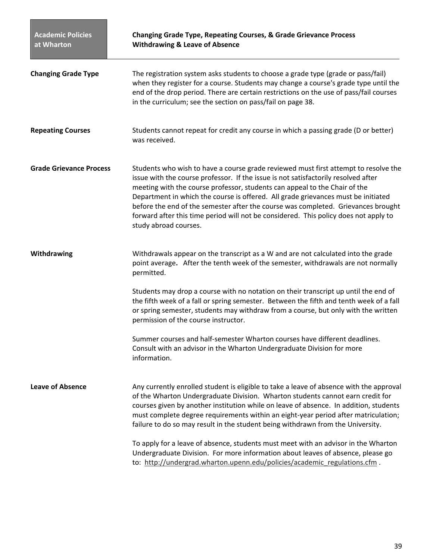| <b>Academic Policies</b><br>at Wharton | <b>Changing Grade Type, Repeating Courses, &amp; Grade Grievance Process</b><br><b>Withdrawing &amp; Leave of Absence</b>                                                                                                                                                                                                                                                                                                                                                                                                                          |
|----------------------------------------|----------------------------------------------------------------------------------------------------------------------------------------------------------------------------------------------------------------------------------------------------------------------------------------------------------------------------------------------------------------------------------------------------------------------------------------------------------------------------------------------------------------------------------------------------|
| <b>Changing Grade Type</b>             | The registration system asks students to choose a grade type (grade or pass/fail)<br>when they register for a course. Students may change a course's grade type until the<br>end of the drop period. There are certain restrictions on the use of pass/fail courses<br>in the curriculum; see the section on pass/fail on page 38.                                                                                                                                                                                                                 |
| <b>Repeating Courses</b>               | Students cannot repeat for credit any course in which a passing grade (D or better)<br>was received.                                                                                                                                                                                                                                                                                                                                                                                                                                               |
| <b>Grade Grievance Process</b>         | Students who wish to have a course grade reviewed must first attempt to resolve the<br>issue with the course professor. If the issue is not satisfactorily resolved after<br>meeting with the course professor, students can appeal to the Chair of the<br>Department in which the course is offered. All grade grievances must be initiated<br>before the end of the semester after the course was completed. Grievances brought<br>forward after this time period will not be considered. This policy does not apply to<br>study abroad courses. |
| Withdrawing                            | Withdrawals appear on the transcript as a W and are not calculated into the grade<br>point average. After the tenth week of the semester, withdrawals are not normally<br>permitted.                                                                                                                                                                                                                                                                                                                                                               |
|                                        | Students may drop a course with no notation on their transcript up until the end of<br>the fifth week of a fall or spring semester. Between the fifth and tenth week of a fall<br>or spring semester, students may withdraw from a course, but only with the written<br>permission of the course instructor.                                                                                                                                                                                                                                       |
|                                        | Summer courses and half-semester Wharton courses have different deadlines.<br>Consult with an advisor in the Wharton Undergraduate Division for more<br>information.                                                                                                                                                                                                                                                                                                                                                                               |
| <b>Leave of Absence</b>                | Any currently enrolled student is eligible to take a leave of absence with the approval<br>of the Wharton Undergraduate Division. Wharton students cannot earn credit for<br>courses given by another institution while on leave of absence. In addition, students<br>must complete degree requirements within an eight-year period after matriculation;<br>failure to do so may result in the student being withdrawn from the University.                                                                                                        |
|                                        | To apply for a leave of absence, students must meet with an advisor in the Wharton<br>Undergraduate Division. For more information about leaves of absence, please go<br>to: http://undergrad.wharton.upenn.edu/policies/academic_regulations.cfm.                                                                                                                                                                                                                                                                                                 |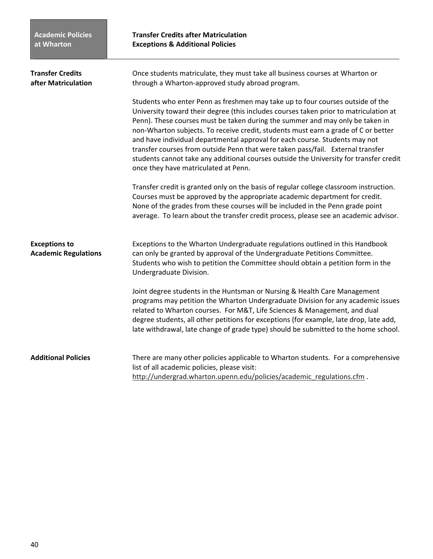**Transfer Credits after Matriculation Exceptions & Additional Policies**

| <b>Transfer Credits</b><br>after Matriculation      | Once students matriculate, they must take all business courses at Wharton or<br>through a Wharton-approved study abroad program.                                                                                                                                                                                                                                                                                                                                                                                                                                                                                                                   |  |
|-----------------------------------------------------|----------------------------------------------------------------------------------------------------------------------------------------------------------------------------------------------------------------------------------------------------------------------------------------------------------------------------------------------------------------------------------------------------------------------------------------------------------------------------------------------------------------------------------------------------------------------------------------------------------------------------------------------------|--|
|                                                     | Students who enter Penn as freshmen may take up to four courses outside of the<br>University toward their degree (this includes courses taken prior to matriculation at<br>Penn). These courses must be taken during the summer and may only be taken in<br>non-Wharton subjects. To receive credit, students must earn a grade of C or better<br>and have individual departmental approval for each course. Students may not<br>transfer courses from outside Penn that were taken pass/fail. External transfer<br>students cannot take any additional courses outside the University for transfer credit<br>once they have matriculated at Penn. |  |
|                                                     | Transfer credit is granted only on the basis of regular college classroom instruction.<br>Courses must be approved by the appropriate academic department for credit.<br>None of the grades from these courses will be included in the Penn grade point<br>average. To learn about the transfer credit process, please see an academic advisor.                                                                                                                                                                                                                                                                                                    |  |
| <b>Exceptions to</b><br><b>Academic Regulations</b> | Exceptions to the Wharton Undergraduate regulations outlined in this Handbook<br>can only be granted by approval of the Undergraduate Petitions Committee.<br>Students who wish to petition the Committee should obtain a petition form in the<br>Undergraduate Division.                                                                                                                                                                                                                                                                                                                                                                          |  |
|                                                     | Joint degree students in the Huntsman or Nursing & Health Care Management<br>programs may petition the Wharton Undergraduate Division for any academic issues<br>related to Wharton courses. For M&T, Life Sciences & Management, and dual<br>degree students, all other petitions for exceptions (for example, late drop, late add,<br>late withdrawal, late change of grade type) should be submitted to the home school.                                                                                                                                                                                                                        |  |
| <b>Additional Policies</b>                          | There are many other policies applicable to Wharton students. For a comprehensive<br>list of all academic policies, please visit:<br>http://undergrad.wharton.upenn.edu/policies/academic_regulations.cfm.                                                                                                                                                                                                                                                                                                                                                                                                                                         |  |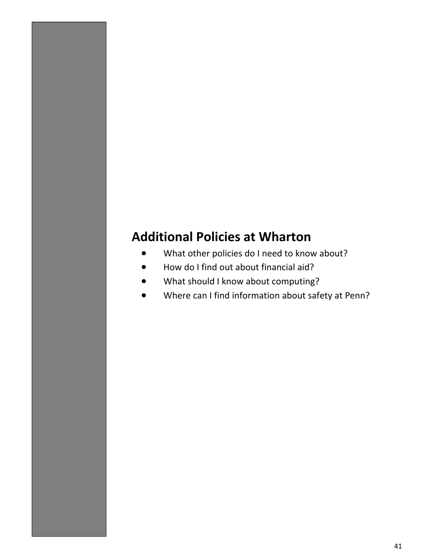# **Additional Policies at Wharton**

- What other policies do I need to know about?
- How do I find out about financial aid?
- What should I know about computing?
- Where can I find information about safety at Penn?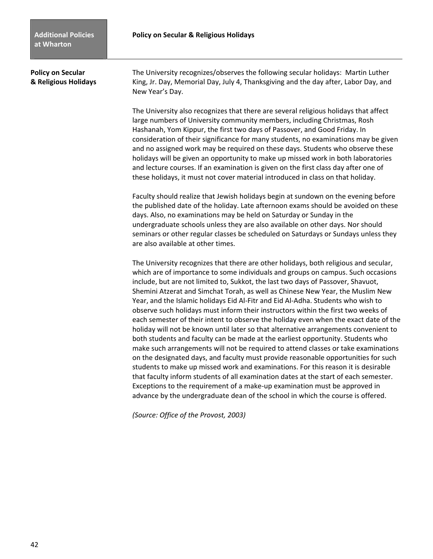**Policy on Secular The University recognizes/observes the following secular holidays: Martin Luther & Religious Holidays** King, Jr. Day, Memorial Day, July 4, Thanksgiving and the day after, Labor Day, and New Year's Day.

> The University also recognizes that there are several religious holidays that affect large numbers of University community members, including Christmas, Rosh Hashanah, Yom Kippur, the first two days of Passover, and Good Friday. In consideration of their significance for many students, no examinations may be given and no assigned work may be required on these days. Students who observe these holidays will be given an opportunity to make up missed work in both laboratories and lecture courses. If an examination is given on the first class day after one of these holidays, it must not cover material introduced in class on that holiday.

> Faculty should realize that Jewish holidays begin at sundown on the evening before the published date of the holiday. Late afternoon exams should be avoided on these days. Also, no examinations may be held on Saturday or Sunday in the undergraduate schools unless they are also available on other days. Nor should seminars or other regular classes be scheduled on Saturdays or Sundays unless they are also available at other times.

> The University recognizes that there are other holidays, both religious and secular, which are of importance to some individuals and groups on campus. Such occasions include, but are not limited to, Sukkot, the last two days of Passover, Shavuot, Shemini Atzerat and Simchat Torah, as well as Chinese New Year, the Muslim New Year, and the Islamic holidays Eid Al-Fitr and Eid Al-Adha. Students who wish to observe such holidays must inform their instructors within the first two weeks of each semester of their intent to observe the holiday even when the exact date of the holiday will not be known until later so that alternative arrangements convenient to both students and faculty can be made at the earliest opportunity. Students who make such arrangements will not be required to attend classes or take examinations on the designated days, and faculty must provide reasonable opportunities for such students to make up missed work and examinations. For this reason it is desirable that faculty inform students of all examination dates at the start of each semester. Exceptions to the requirement of a make-up examination must be approved in advance by the undergraduate dean of the school in which the course is offered.

 *(Source: Office of the Provost, 2003)*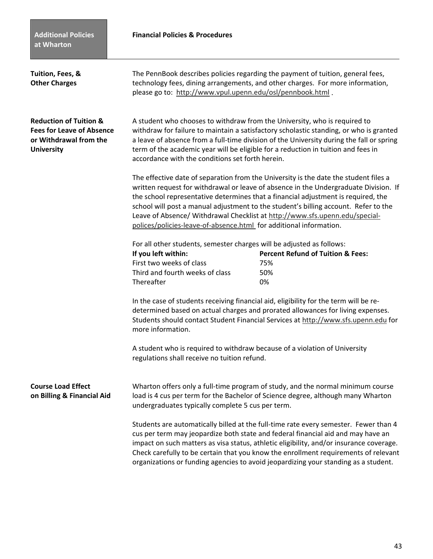## **Financial Policies & Procedures**

| Tuition, Fees, &<br><b>Other Charges</b>                                                                             | please go to: http://www.vpul.upenn.edu/osl/pennbook.html.                                                                                                                                                                                                                                                                                                                                               | The PennBook describes policies regarding the payment of tuition, general fees,<br>technology fees, dining arrangements, and other charges. For more information,                                                                                                                                                                                                                                                                                 |
|----------------------------------------------------------------------------------------------------------------------|----------------------------------------------------------------------------------------------------------------------------------------------------------------------------------------------------------------------------------------------------------------------------------------------------------------------------------------------------------------------------------------------------------|---------------------------------------------------------------------------------------------------------------------------------------------------------------------------------------------------------------------------------------------------------------------------------------------------------------------------------------------------------------------------------------------------------------------------------------------------|
| <b>Reduction of Tuition &amp;</b><br><b>Fees for Leave of Absence</b><br>or Withdrawal from the<br><b>University</b> | A student who chooses to withdraw from the University, who is required to<br>withdraw for failure to maintain a satisfactory scholastic standing, or who is granted<br>a leave of absence from a full-time division of the University during the fall or spring<br>term of the academic year will be eligible for a reduction in tuition and fees in<br>accordance with the conditions set forth herein. |                                                                                                                                                                                                                                                                                                                                                                                                                                                   |
|                                                                                                                      | polices/policies-leave-of-absence.html_for additional information.                                                                                                                                                                                                                                                                                                                                       | The effective date of separation from the University is the date the student files a<br>written request for withdrawal or leave of absence in the Undergraduate Division. If<br>the school representative determines that a financial adjustment is required, the<br>school will post a manual adjustment to the student's billing account. Refer to the<br>Leave of Absence/ Withdrawal Checklist at http://www.sfs.upenn.edu/special-           |
|                                                                                                                      | For all other students, semester charges will be adjusted as follows:                                                                                                                                                                                                                                                                                                                                    |                                                                                                                                                                                                                                                                                                                                                                                                                                                   |
|                                                                                                                      | If you left within:                                                                                                                                                                                                                                                                                                                                                                                      | <b>Percent Refund of Tuition &amp; Fees:</b>                                                                                                                                                                                                                                                                                                                                                                                                      |
|                                                                                                                      | First two weeks of class                                                                                                                                                                                                                                                                                                                                                                                 | 75%                                                                                                                                                                                                                                                                                                                                                                                                                                               |
|                                                                                                                      | Third and fourth weeks of class<br>Thereafter                                                                                                                                                                                                                                                                                                                                                            | 50%<br>0%                                                                                                                                                                                                                                                                                                                                                                                                                                         |
|                                                                                                                      | more information.                                                                                                                                                                                                                                                                                                                                                                                        | In the case of students receiving financial aid, eligibility for the term will be re-<br>determined based on actual charges and prorated allowances for living expenses.<br>Students should contact Student Financial Services at http://www.sfs.upenn.edu for                                                                                                                                                                                    |
|                                                                                                                      | A student who is required to withdraw because of a violation of University<br>regulations shall receive no tuition refund.                                                                                                                                                                                                                                                                               |                                                                                                                                                                                                                                                                                                                                                                                                                                                   |
| <b>Course Load Effect</b><br>on Billing & Financial Aid                                                              | undergraduates typically complete 5 cus per term.                                                                                                                                                                                                                                                                                                                                                        | Wharton offers only a full-time program of study, and the normal minimum course<br>load is 4 cus per term for the Bachelor of Science degree, although many Wharton                                                                                                                                                                                                                                                                               |
|                                                                                                                      |                                                                                                                                                                                                                                                                                                                                                                                                          | Students are automatically billed at the full-time rate every semester. Fewer than 4<br>cus per term may jeopardize both state and federal financial aid and may have an<br>impact on such matters as visa status, athletic eligibility, and/or insurance coverage.<br>Check carefully to be certain that you know the enrollment requirements of relevant<br>organizations or funding agencies to avoid jeopardizing your standing as a student. |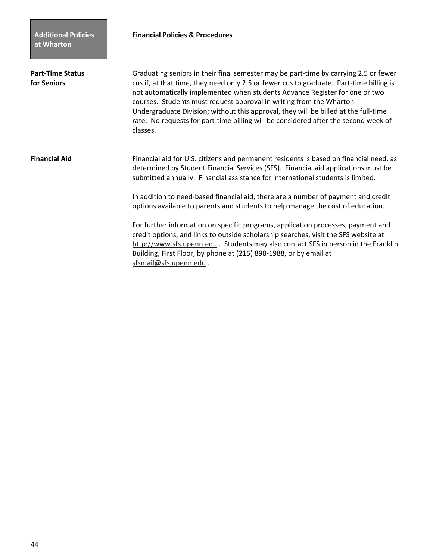| <b>Part-Time Status</b><br>for Seniors | Graduating seniors in their final semester may be part-time by carrying 2.5 or fewer<br>cus if, at that time, they need only 2.5 or fewer cus to graduate. Part-time billing is<br>not automatically implemented when students Advance Register for one or two<br>courses. Students must request approval in writing from the Wharton<br>Undergraduate Division; without this approval, they will be billed at the full-time<br>rate. No requests for part-time billing will be considered after the second week of<br>classes. |
|----------------------------------------|---------------------------------------------------------------------------------------------------------------------------------------------------------------------------------------------------------------------------------------------------------------------------------------------------------------------------------------------------------------------------------------------------------------------------------------------------------------------------------------------------------------------------------|
| <b>Financial Aid</b>                   | Financial aid for U.S. citizens and permanent residents is based on financial need, as<br>determined by Student Financial Services (SFS). Financial aid applications must be<br>submitted annually. Financial assistance for international students is limited.                                                                                                                                                                                                                                                                 |
|                                        | In addition to need-based financial aid, there are a number of payment and credit<br>options available to parents and students to help manage the cost of education.                                                                                                                                                                                                                                                                                                                                                            |
|                                        | For further information on specific programs, application processes, payment and<br>credit options, and links to outside scholarship searches, visit the SFS website at<br>http://www.sfs.upenn.edu. Students may also contact SFS in person in the Franklin<br>Building, First Floor, by phone at (215) 898-1988, or by email at<br>sfsmail@sfs.upenn.edu.                                                                                                                                                                     |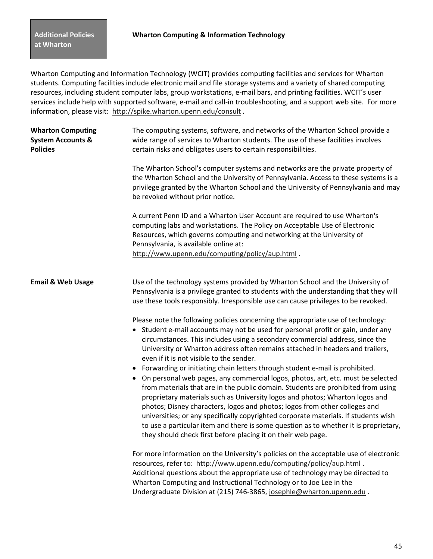Wharton Computing and Information Technology (WCIT) provides computing facilities and services for Wharton students. Computing facilities include electronic mail and file storage systems and a variety of shared computing resources, including student computer labs, group workstations, e-mail bars, and printing facilities. WCIT's user services include help with supported software, e-mail and call-in troubleshooting, and a support web site. For more information, please visit: http://spike.wharton.upenn.edu/consult *.* 

| <b>Wharton Computing</b><br><b>System Accounts &amp;</b><br><b>Policies</b> | The computing systems, software, and networks of the Wharton School provide a<br>wide range of services to Wharton students. The use of these facilities involves<br>certain risks and obligates users to certain responsibilities.                                                                                                                                                                                                                                                                                                                                                                                                                                  |
|-----------------------------------------------------------------------------|----------------------------------------------------------------------------------------------------------------------------------------------------------------------------------------------------------------------------------------------------------------------------------------------------------------------------------------------------------------------------------------------------------------------------------------------------------------------------------------------------------------------------------------------------------------------------------------------------------------------------------------------------------------------|
|                                                                             | The Wharton School's computer systems and networks are the private property of<br>the Wharton School and the University of Pennsylvania. Access to these systems is a<br>privilege granted by the Wharton School and the University of Pennsylvania and may<br>be revoked without prior notice.                                                                                                                                                                                                                                                                                                                                                                      |
|                                                                             | A current Penn ID and a Wharton User Account are required to use Wharton's<br>computing labs and workstations. The Policy on Acceptable Use of Electronic<br>Resources, which governs computing and networking at the University of<br>Pennsylvania, is available online at:<br>http://www.upenn.edu/computing/policy/aup.html.                                                                                                                                                                                                                                                                                                                                      |
| <b>Email &amp; Web Usage</b>                                                | Use of the technology systems provided by Wharton School and the University of<br>Pennsylvania is a privilege granted to students with the understanding that they will<br>use these tools responsibly. Irresponsible use can cause privileges to be revoked.                                                                                                                                                                                                                                                                                                                                                                                                        |
|                                                                             | Please note the following policies concerning the appropriate use of technology:<br>• Student e-mail accounts may not be used for personal profit or gain, under any<br>circumstances. This includes using a secondary commercial address, since the<br>University or Wharton address often remains attached in headers and trailers,<br>even if it is not visible to the sender.                                                                                                                                                                                                                                                                                    |
|                                                                             | • Forwarding or initiating chain letters through student e-mail is prohibited.<br>• On personal web pages, any commercial logos, photos, art, etc. must be selected<br>from materials that are in the public domain. Students are prohibited from using<br>proprietary materials such as University logos and photos; Wharton logos and<br>photos; Disney characters, logos and photos; logos from other colleges and<br>universities; or any specifically copyrighted corporate materials. If students wish<br>to use a particular item and there is some question as to whether it is proprietary,<br>they should check first before placing it on their web page. |
|                                                                             | For more information on the University's policies on the acceptable use of electronic<br>resources, refer to: http://www.upenn.edu/computing/policy/aup.html .<br>Additional questions about the appropriate use of technology may be directed to<br>Wharton Computing and Instructional Technology or to Joe Lee in the<br>Undergraduate Division at (215) 746-3865, josephle@wharton.upenn.edu.                                                                                                                                                                                                                                                                    |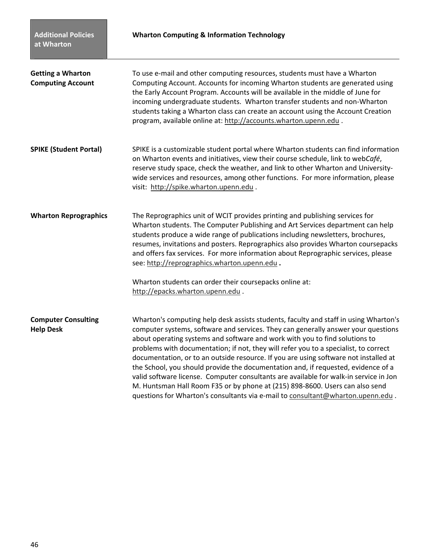| <b>Getting a Wharton</b><br><b>Computing Account</b> | To use e-mail and other computing resources, students must have a Wharton<br>Computing Account. Accounts for incoming Wharton students are generated using<br>the Early Account Program. Accounts will be available in the middle of June for<br>incoming undergraduate students. Wharton transfer students and non-Wharton<br>students taking a Wharton class can create an account using the Account Creation<br>program, available online at: http://accounts.wharton.upenn.edu.                                                                                                                                                                                                                                                                                                       |
|------------------------------------------------------|-------------------------------------------------------------------------------------------------------------------------------------------------------------------------------------------------------------------------------------------------------------------------------------------------------------------------------------------------------------------------------------------------------------------------------------------------------------------------------------------------------------------------------------------------------------------------------------------------------------------------------------------------------------------------------------------------------------------------------------------------------------------------------------------|
| <b>SPIKE (Student Portal)</b>                        | SPIKE is a customizable student portal where Wharton students can find information<br>on Wharton events and initiatives, view their course schedule, link to webCafé,<br>reserve study space, check the weather, and link to other Wharton and University-<br>wide services and resources, among other functions. For more information, please<br>visit: http://spike.wharton.upenn.edu.                                                                                                                                                                                                                                                                                                                                                                                                  |
| <b>Wharton Reprographics</b>                         | The Reprographics unit of WCIT provides printing and publishing services for<br>Wharton students. The Computer Publishing and Art Services department can help<br>students produce a wide range of publications including newsletters, brochures,<br>resumes, invitations and posters. Reprographics also provides Wharton coursepacks<br>and offers fax services. For more information about Reprographic services, please<br>see: http://reprographics.wharton.upenn.edu.                                                                                                                                                                                                                                                                                                               |
|                                                      | Wharton students can order their coursepacks online at:<br>http://epacks.wharton.upenn.edu.                                                                                                                                                                                                                                                                                                                                                                                                                                                                                                                                                                                                                                                                                               |
| <b>Computer Consulting</b><br><b>Help Desk</b>       | Wharton's computing help desk assists students, faculty and staff in using Wharton's<br>computer systems, software and services. They can generally answer your questions<br>about operating systems and software and work with you to find solutions to<br>problems with documentation; if not, they will refer you to a specialist, to correct<br>documentation, or to an outside resource. If you are using software not installed at<br>the School, you should provide the documentation and, if requested, evidence of a<br>valid software license. Computer consultants are available for walk-in service in Jon<br>M. Huntsman Hall Room F35 or by phone at (215) 898-8600. Users can also send<br>questions for Wharton's consultants via e-mail to consultant@wharton.upenn.edu. |